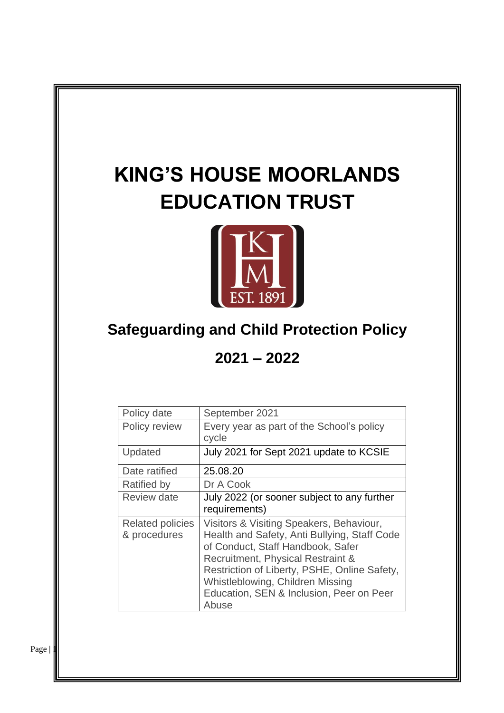# **KING'S HOUSE MOORLANDS EDUCATION TRUST**



## **Safeguarding and Child Protection Policy**

**2021 – 2022**

| Policy date                             | September 2021                                                                                                                                                                                                                                                                                              |
|-----------------------------------------|-------------------------------------------------------------------------------------------------------------------------------------------------------------------------------------------------------------------------------------------------------------------------------------------------------------|
| Policy review                           | Every year as part of the School's policy<br>cycle                                                                                                                                                                                                                                                          |
| Updated                                 | July 2021 for Sept 2021 update to KCSIE                                                                                                                                                                                                                                                                     |
| Date ratified                           | 25.08.20                                                                                                                                                                                                                                                                                                    |
| <b>Ratified by</b>                      | Dr A Cook                                                                                                                                                                                                                                                                                                   |
| <b>Review date</b>                      | July 2022 (or sooner subject to any further<br>requirements)                                                                                                                                                                                                                                                |
| <b>Related policies</b><br>& procedures | Visitors & Visiting Speakers, Behaviour,<br>Health and Safety, Anti Bullying, Staff Code<br>of Conduct, Staff Handbook, Safer<br>Recruitment, Physical Restraint &<br>Restriction of Liberty, PSHE, Online Safety,<br>Whistleblowing, Children Missing<br>Education, SEN & Inclusion, Peer on Peer<br>Abuse |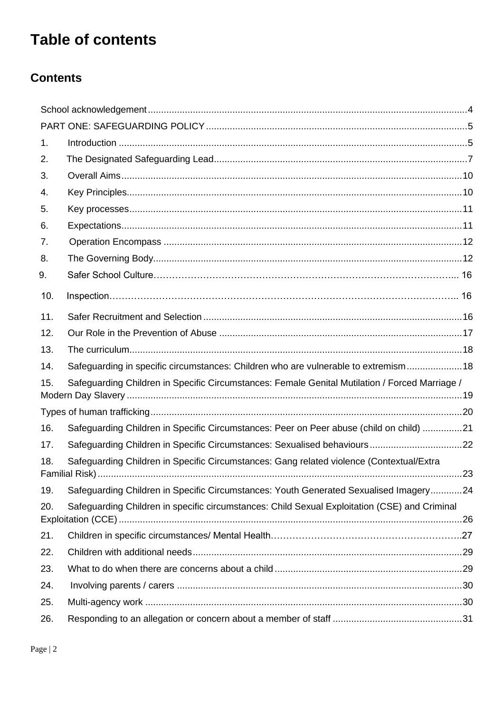## **Table of contents**

## **Contents**

| 1.  |                                                                                                |  |
|-----|------------------------------------------------------------------------------------------------|--|
| 2.  |                                                                                                |  |
| 3.  |                                                                                                |  |
| 4.  |                                                                                                |  |
| 5.  |                                                                                                |  |
| 6.  |                                                                                                |  |
| 7.  |                                                                                                |  |
| 8.  |                                                                                                |  |
| 9.  |                                                                                                |  |
| 10. |                                                                                                |  |
| 11. |                                                                                                |  |
| 12. |                                                                                                |  |
| 13. |                                                                                                |  |
| 14. | Safeguarding in specific circumstances: Children who are vulnerable to extremism 18            |  |
| 15. | Safeguarding Children in Specific Circumstances: Female Genital Mutilation / Forced Marriage / |  |
|     |                                                                                                |  |
| 16. | Safeguarding Children in Specific Circumstances: Peer on Peer abuse (child on child) 21        |  |
| 17. |                                                                                                |  |
| 18. | Safeguarding Children in Specific Circumstances: Gang related violence (Contextual/Extra       |  |
| 19. | Safeguarding Children in Specific Circumstances: Youth Generated Sexualised Imagery24          |  |
| 20. | Safeguarding Children in specific circumstances: Child Sexual Exploitation (CSE) and Criminal  |  |
| 21. |                                                                                                |  |
| 22. |                                                                                                |  |
| 23. |                                                                                                |  |
| 24. |                                                                                                |  |
| 25. |                                                                                                |  |
| 26. |                                                                                                |  |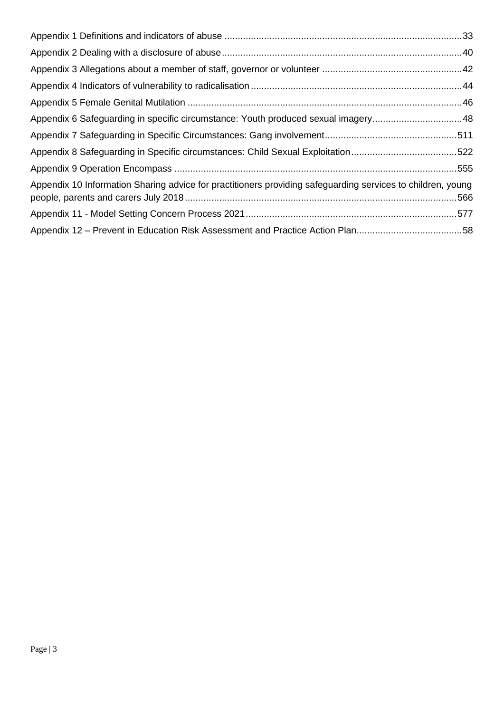| Appendix 6 Safeguarding in specific circumstance: Youth produced sexual imagery48                           |  |
|-------------------------------------------------------------------------------------------------------------|--|
|                                                                                                             |  |
| Appendix 8 Safeguarding in Specific circumstances: Child Sexual Exploitation522                             |  |
|                                                                                                             |  |
| Appendix 10 Information Sharing advice for practitioners providing safeguarding services to children, young |  |
|                                                                                                             |  |
| Appendix 12 – Prevent in Education Risk Assessment and Practice Action Plan58                               |  |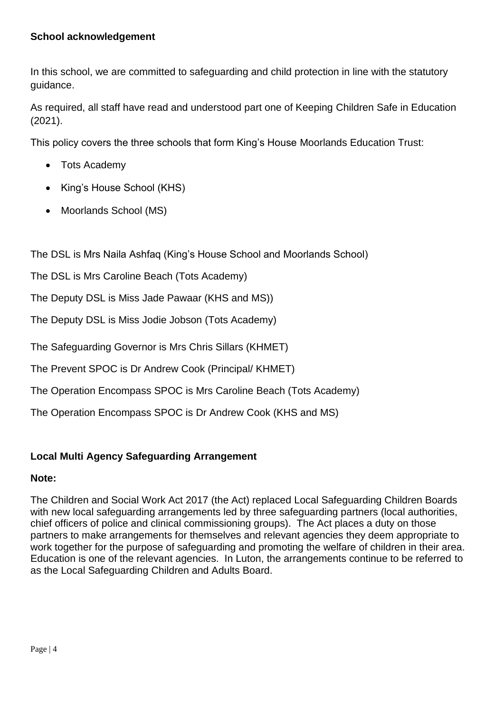#### <span id="page-3-0"></span>**School acknowledgement**

In this school, we are committed to safeguarding and child protection in line with the statutory guidance.

As required, all staff have read and understood part one of Keeping Children Safe in Education (2021).

This policy covers the three schools that form King's House Moorlands Education Trust:

- Tots Academy
- King's House School (KHS)
- Moorlands School (MS)

The DSL is Mrs Naila Ashfaq (King's House School and Moorlands School)

The DSL is Mrs Caroline Beach (Tots Academy)

The Deputy DSL is Miss Jade Pawaar (KHS and MS))

The Deputy DSL is Miss Jodie Jobson (Tots Academy)

The Safeguarding Governor is Mrs Chris Sillars (KHMET)

The Prevent SPOC is Dr Andrew Cook (Principal/ KHMET)

The Operation Encompass SPOC is Mrs Caroline Beach (Tots Academy)

The Operation Encompass SPOC is Dr Andrew Cook (KHS and MS)

#### **Local Multi Agency Safeguarding Arrangement**

#### **Note:**

The Children and Social Work Act 2017 (the Act) replaced Local Safeguarding Children Boards with new local safeguarding arrangements led by three safeguarding partners (local authorities, chief officers of police and clinical commissioning groups). The Act places a duty on those partners to make arrangements for themselves and relevant agencies they deem appropriate to work together for the purpose of safeguarding and promoting the welfare of children in their area. Education is one of the relevant agencies. In Luton, the arrangements continue to be referred to as the Local Safeguarding Children and Adults Board.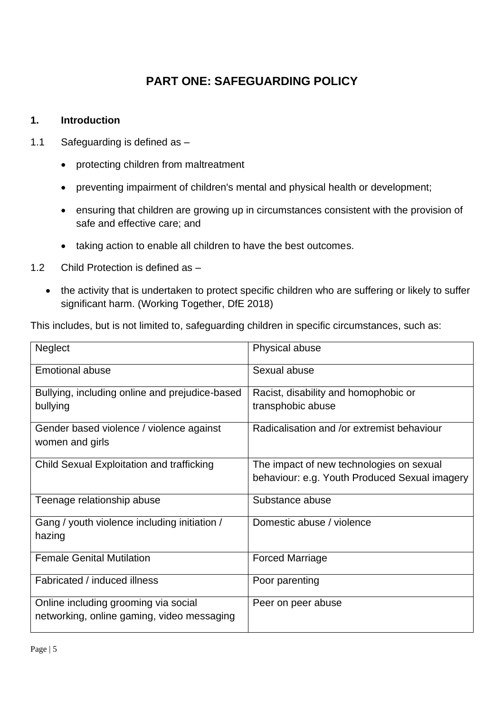## **PART ONE: SAFEGUARDING POLICY**

#### <span id="page-4-1"></span><span id="page-4-0"></span>**1. Introduction**

- 1.1 Safeguarding is defined as
	- protecting children from maltreatment
	- preventing impairment of children's mental and physical health or development;
	- ensuring that children are growing up in circumstances consistent with the provision of safe and effective care; and
	- taking action to enable all children to have the best outcomes.
- 1.2 Child Protection is defined as
	- the activity that is undertaken to protect specific children who are suffering or likely to suffer significant harm. (Working Together, DfE 2018)

This includes, but is not limited to, safeguarding children in specific circumstances, such as:

| <b>Neglect</b>                                              | <b>Physical abuse</b>                         |
|-------------------------------------------------------------|-----------------------------------------------|
| <b>Emotional abuse</b>                                      | Sexual abuse                                  |
| Bullying, including online and prejudice-based              | Racist, disability and homophobic or          |
| bullying                                                    | transphobic abuse                             |
| Gender based violence / violence against<br>women and girls | Radicalisation and /or extremist behaviour    |
| Child Sexual Exploitation and trafficking                   | The impact of new technologies on sexual      |
|                                                             | behaviour: e.g. Youth Produced Sexual imagery |
| Teenage relationship abuse                                  | Substance abuse                               |
| Gang / youth violence including initiation /<br>hazing      | Domestic abuse / violence                     |
| <b>Female Genital Mutilation</b>                            | <b>Forced Marriage</b>                        |
| Fabricated / induced illness                                | Poor parenting                                |
| Online including grooming via social                        | Peer on peer abuse                            |
| networking, online gaming, video messaging                  |                                               |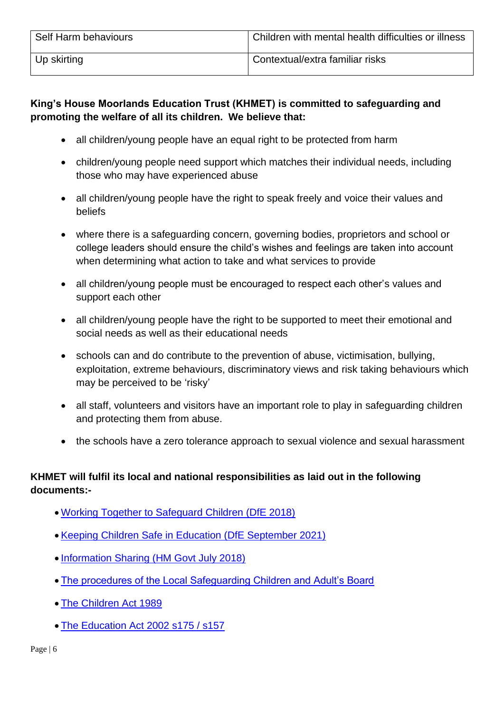| Self Harm behaviours | Children with mental health difficulties or illness |
|----------------------|-----------------------------------------------------|
| ∣ Up skirting        | Contextual/extra familiar risks                     |

## **King's House Moorlands Education Trust (KHMET) is committed to safeguarding and promoting the welfare of all its children. We believe that:**

- all children/young people have an equal right to be protected from harm
- children/young people need support which matches their individual needs, including those who may have experienced abuse
- all children/young people have the right to speak freely and voice their values and beliefs
- where there is a safeguarding concern, governing bodies, proprietors and school or college leaders should ensure the child's wishes and feelings are taken into account when determining what action to take and what services to provide
- all children/young people must be encouraged to respect each other's values and support each other
- all children/young people have the right to be supported to meet their emotional and social needs as well as their educational needs
- schools can and do contribute to the prevention of abuse, victimisation, bullying, exploitation, extreme behaviours, discriminatory views and risk taking behaviours which may be perceived to be 'risky'
- all staff, volunteers and visitors have an important role to play in safeguarding children and protecting them from abuse.
- the schools have a zero tolerance approach to sexual violence and sexual harassment

## **KHMET will fulfil its local and national responsibilities as laid out in the following documents:-**

- [Working Together to Safeguard Children \(DfE 2018\)](https://assets.publishing.service.gov.uk/government/uploads/system/uploads/attachment_data/file/779401/Working_Together_to_Safeguard-Children.pdf)
- [Keeping Children Safe in Education \(DfE September 2021\)](https://assets.publishing.service.gov.uk/government/uploads/system/uploads/attachment_data/file/999348/Keeping_children_safe_in_education_2021.pdf)
- [Information Sharing \(HM Govt July 2018\)](https://assets.publishing.service.gov.uk/government/uploads/system/uploads/attachment_data/file/721581/Information_sharing_advice_practitioners_safeguarding_services.pdf)
- [The procedures of the Local Safeguarding Children and Adult's Board](http://lutonlscb.org.uk/)
- [The Children Act 1989](https://www.legislation.gov.uk/ukpga/1989/41/contents)
- [The Education Act 2002 s175 / s157](https://www.legislation.gov.uk/ukpga/2002/32/section/175)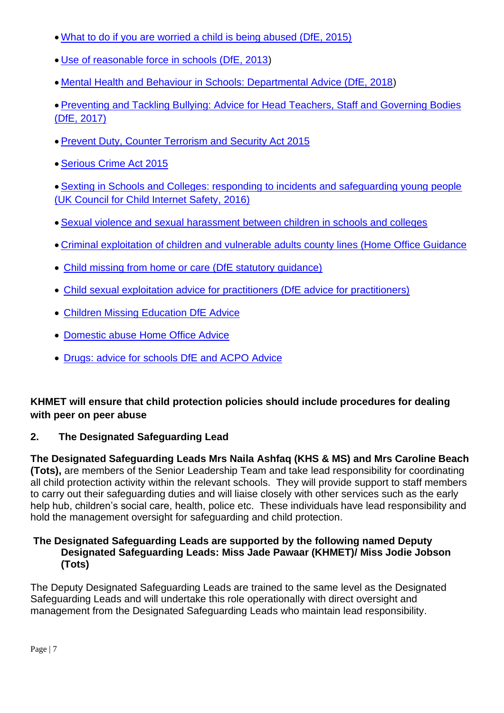- [What to do if you are worried a child is being abused \(DfE, 2015\)](https://assets.publishing.service.gov.uk/government/uploads/system/uploads/attachment_data/file/419604/What_to_do_if_you_re_worried_a_child_is_being_abused.pdf)
- [Use of reasonable force in schools \(DfE, 2013\)](https://www.gov.uk/government/publications/use-of-reasonable-force-in-schools)
- [Mental Health and Behaviour in Schools: Departmental Advice \(DfE, 2018\)](https://assets.publishing.service.gov.uk/government/uploads/system/uploads/attachment_data/file/755135/Mental_health_and_behaviour_in_schools__.pdf)

• [Preventing and Tackling Bullying: Advice for Head Teachers, Staff and Governing Bodies](https://www.gov.uk/government/publications/preventing-and-tackling-bullying)  [\(DfE, 2017\)](https://www.gov.uk/government/publications/preventing-and-tackling-bullying)

- [Prevent Duty, Counter Terrorism and Security Act 2015](https://www.legislation.gov.uk/ukdsi/2015/9780111133309/pdfs/ukdsiod_9780111133309_en.pdf)
- [Serious Crime Act 2015](https://www.legislation.gov.uk/ukpga/2015/9/contents)

• [Sexting in Schools and Colleges: responding to incidents and safeguarding young people](https://www.safeguardinginschools.co.uk/wp-content/uploads/2016/08/Sexting-in-schools-and-colleges-UKCCIS-August-2016.pdf)  [\(UK Council for Child Internet Safety, 2016\)](https://www.safeguardinginschools.co.uk/wp-content/uploads/2016/08/Sexting-in-schools-and-colleges-UKCCIS-August-2016.pdf)

- Sexual violence and sexual [harassment](https://www.gov.uk/government/publications/sexual-violence-and-sexual-harassment-between-children-in-schools-and-colleges) between children in schools and colleges
- [Criminal exploitation of children and vulnerable adults county lines \(Home Office Guidance](https://assets.publishing.service.gov.uk/government/uploads/system/uploads/attachment_data/file/863323/HOCountyLinesGuidance_-_Sept2018.pdf)
- Child missing from home or care (DfE statutory quidance)
- [Child sexual exploitation advice for practitioners \(DfE advice for practitioners\)](https://assets.publishing.service.gov.uk/government/uploads/system/uploads/attachment_data/file/591903/CSE_Guidance_Core_Document_13.02.2017.pdf)
- [Children Missing Education DfE Advice](https://assets.publishing.service.gov.uk/government/uploads/system/uploads/attachment_data/file/550416/Children_Missing_Education_-_statutory_guidance.pdf)
- Domestic abuse [Home Office Advice](https://www.gov.uk/guidance/domestic-abuse-how-to-get-help)
- [Drugs: advice for schools DfE and ACPO Advice](https://www.gov.uk/government/publications/drugs-advice-for-schools)

## **KHMET will ensure that child protection policies should include procedures for dealing with peer on peer abuse**

## <span id="page-6-0"></span>**2. The Designated Safeguarding Lead**

**The Designated Safeguarding Leads Mrs Naila Ashfaq (KHS & MS) and Mrs Caroline Beach (Tots),** are members of the Senior Leadership Team and take lead responsibility for coordinating all child protection activity within the relevant schools. They will provide support to staff members to carry out their safeguarding duties and will liaise closely with other services such as the early help hub, children's social care, health, police etc. These individuals have lead responsibility and hold the management oversight for safeguarding and child protection.

#### **The Designated Safeguarding Leads are supported by the following named Deputy Designated Safeguarding Leads: Miss Jade Pawaar (KHMET)/ Miss Jodie Jobson (Tots)**

The Deputy Designated Safeguarding Leads are trained to the same level as the Designated Safeguarding Leads and will undertake this role operationally with direct oversight and management from the Designated Safeguarding Leads who maintain lead responsibility.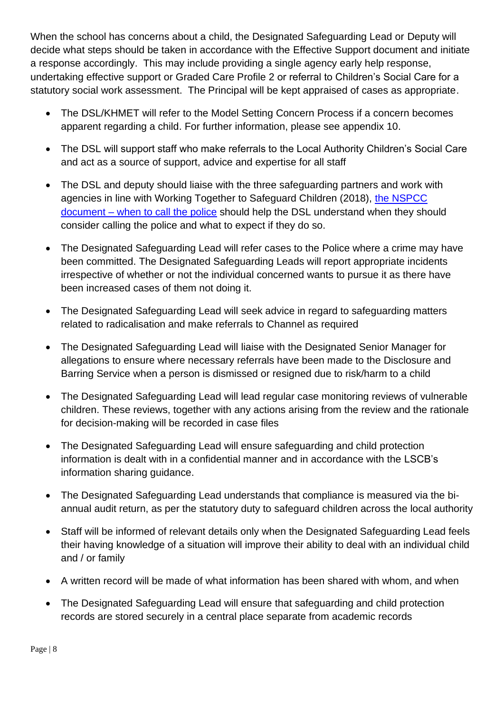When the school has concerns about a child, the Designated Safeguarding Lead or Deputy will decide what steps should be taken in accordance with the Effective Support document and initiate a response accordingly. This may include providing a single agency early help response, undertaking effective support or Graded Care Profile 2 or referral to Children's Social Care for a statutory social work assessment. The Principal will be kept appraised of cases as appropriate.

- The DSL/KHMET will refer to the Model Setting Concern Process if a concern becomes apparent regarding a child. For further information, please see appendix 10.
- The DSL will support staff who make referrals to the Local Authority Children's Social Care and act as a source of support, advice and expertise for all staff
- The DSL and deputy should liaise with the three safeguarding partners and work with agencies in line with Working Together to Safeguard Children (2018), [the NSPCC](https://www.npcc.police.uk/documents/Children%20and%20Young%20people/When%20to%20call%20the%20police%20guidance%20for%20schools%20and%20colleges.pdf)  document – [when to call the police](https://www.npcc.police.uk/documents/Children%20and%20Young%20people/When%20to%20call%20the%20police%20guidance%20for%20schools%20and%20colleges.pdf) should help the DSL understand when they should consider calling the police and what to expect if they do so.
- The Designated Safeguarding Lead will refer cases to the Police where a crime may have been committed. The Designated Safeguarding Leads will report appropriate incidents irrespective of whether or not the individual concerned wants to pursue it as there have been increased cases of them not doing it.
- The Designated Safeguarding Lead will seek advice in regard to safeguarding matters related to radicalisation and make referrals to Channel as required
- The Designated Safeguarding Lead will liaise with the Designated Senior Manager for allegations to ensure where necessary referrals have been made to the Disclosure and Barring Service when a person is dismissed or resigned due to risk/harm to a child
- The Designated Safeguarding Lead will lead regular case monitoring reviews of vulnerable children. These reviews, together with any actions arising from the review and the rationale for decision-making will be recorded in case files
- The Designated Safeguarding Lead will ensure safeguarding and child protection information is dealt with in a confidential manner and in accordance with the LSCB's information sharing guidance.
- The Designated Safeguarding Lead understands that compliance is measured via the biannual audit return, as per the statutory duty to safeguard children across the local authority
- Staff will be informed of relevant details only when the Designated Safeguarding Lead feels their having knowledge of a situation will improve their ability to deal with an individual child and / or family
- A written record will be made of what information has been shared with whom, and when
- The Designated Safeguarding Lead will ensure that safeguarding and child protection records are stored securely in a central place separate from academic records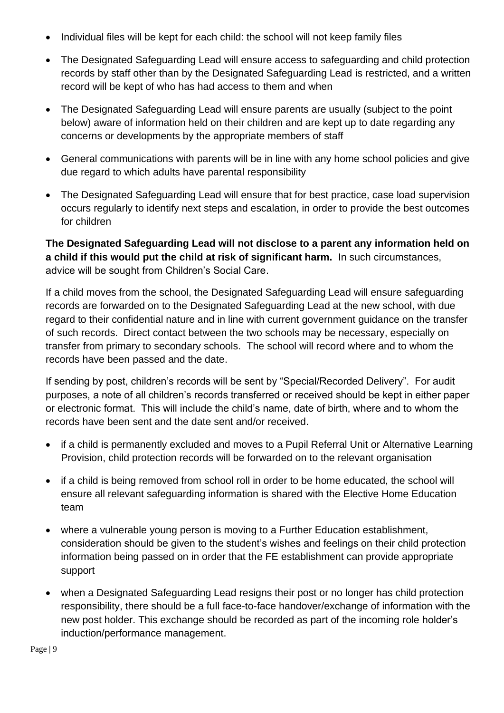- Individual files will be kept for each child: the school will not keep family files
- The Designated Safeguarding Lead will ensure access to safeguarding and child protection records by staff other than by the Designated Safeguarding Lead is restricted, and a written record will be kept of who has had access to them and when
- The Designated Safeguarding Lead will ensure parents are usually (subject to the point below) aware of information held on their children and are kept up to date regarding any concerns or developments by the appropriate members of staff
- General communications with parents will be in line with any home school policies and give due regard to which adults have parental responsibility
- The Designated Safeguarding Lead will ensure that for best practice, case load supervision occurs regularly to identify next steps and escalation, in order to provide the best outcomes for children

**The Designated Safeguarding Lead will not disclose to a parent any information held on a child if this would put the child at risk of significant harm.** In such circumstances, advice will be sought from Children's Social Care.

If a child moves from the school, the Designated Safeguarding Lead will ensure safeguarding records are forwarded on to the Designated Safeguarding Lead at the new school, with due regard to their confidential nature and in line with current government guidance on the transfer of such records. Direct contact between the two schools may be necessary, especially on transfer from primary to secondary schools. The school will record where and to whom the records have been passed and the date.

If sending by post, children's records will be sent by "Special/Recorded Delivery". For audit purposes, a note of all children's records transferred or received should be kept in either paper or electronic format. This will include the child's name, date of birth, where and to whom the records have been sent and the date sent and/or received.

- if a child is permanently excluded and moves to a Pupil Referral Unit or Alternative Learning Provision, child protection records will be forwarded on to the relevant organisation
- if a child is being removed from school roll in order to be home educated, the school will ensure all relevant safeguarding information is shared with the Elective Home Education team
- where a vulnerable young person is moving to a Further Education establishment, consideration should be given to the student's wishes and feelings on their child protection information being passed on in order that the FE establishment can provide appropriate support
- when a Designated Safeguarding Lead resigns their post or no longer has child protection responsibility, there should be a full face-to-face handover/exchange of information with the new post holder. This exchange should be recorded as part of the incoming role holder's induction/performance management.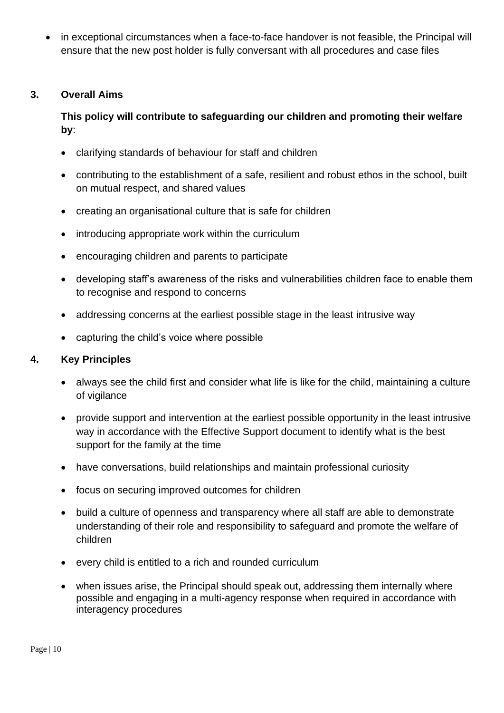• in exceptional circumstances when a face-to-face handover is not feasible, the Principal will ensure that the new post holder is fully conversant with all procedures and case files

#### <span id="page-9-0"></span>**3. Overall Aims**

## **This policy will contribute to safeguarding our children and promoting their welfare by**:

- clarifying standards of behaviour for staff and children
- contributing to the establishment of a safe, resilient and robust ethos in the school, built on mutual respect, and shared values
- creating an organisational culture that is safe for children
- introducing appropriate work within the curriculum
- encouraging children and parents to participate
- developing staff's awareness of the risks and vulnerabilities children face to enable them to recognise and respond to concerns
- addressing concerns at the earliest possible stage in the least intrusive way
- capturing the child's voice where possible

#### <span id="page-9-1"></span>**4. Key Principles**

- always see the child first and consider what life is like for the child, maintaining a culture of vigilance
- provide support and intervention at the earliest possible opportunity in the least intrusive way in accordance with the Effective Support document to identify what is the best support for the family at the time
- have conversations, build relationships and maintain professional curiosity
- focus on securing improved outcomes for children
- build a culture of openness and transparency where all staff are able to demonstrate understanding of their role and responsibility to safeguard and promote the welfare of children
- every child is entitled to a rich and rounded curriculum
- when issues arise, the Principal should speak out, addressing them internally where possible and engaging in a multi-agency response when required in accordance with interagency procedures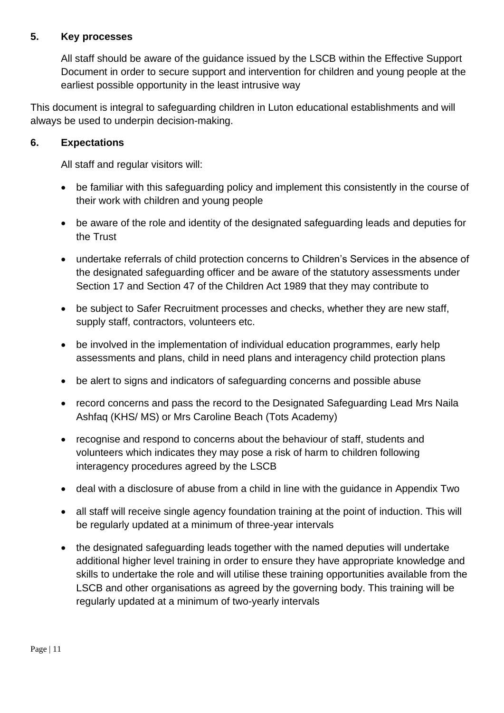#### <span id="page-10-0"></span>**5. Key processes**

All staff should be aware of the guidance issued by the LSCB within the [Effective](file://///corporate/educate/Early%20Years/Ella%20Sealey/School%20model%20policy/.%20http:/lutonlscb.org.uk/pdfs/threshold-framework.pdf) Support Document in order to secure support and intervention for children and young people at the earliest possible opportunity in the least intrusive way

This document is integral to safeguarding children in Luton educational establishments and will always be used to underpin decision-making.

#### <span id="page-10-1"></span>**6. Expectations**

All staff and regular visitors will:

- be familiar with this safeguarding policy and implement this consistently in the course of their work with children and young people
- be aware of the role and identity of the designated safeguarding leads and deputies for the Trust
- undertake referrals of child protection concerns to Children's Services in the absence of the designated safeguarding officer and be aware of the statutory assessments under Section 17 and Section 47 of the Children Act 1989 that they may contribute to
- be subject to Safer Recruitment processes and checks, whether they are new staff, supply staff, contractors, volunteers etc.
- be involved in the implementation of individual education programmes, early help assessments and plans, child in need plans and interagency child protection plans
- be alert to signs and indicators of safeguarding concerns and possible abuse
- record concerns and pass the record to the Designated Safeguarding Lead Mrs Naila Ashfaq (KHS/ MS) or Mrs Caroline Beach (Tots Academy)
- recognise and respond to concerns about the behaviour of staff, students and volunteers which indicates they may pose a risk of harm to children following interagency procedures agreed by the LSCB
- deal with a disclosure of abuse from a child in line with the guidance in Appendix Two
- all staff will receive single agency foundation training at the point of induction. This will be regularly updated at a minimum of three-year intervals
- the designated safeguarding leads together with the named deputies will undertake additional higher level training in order to ensure they have appropriate knowledge and skills to undertake the role and will utilise these training opportunities available from the LSCB and other organisations as agreed by the governing body. This training will be regularly updated at a minimum of two-yearly intervals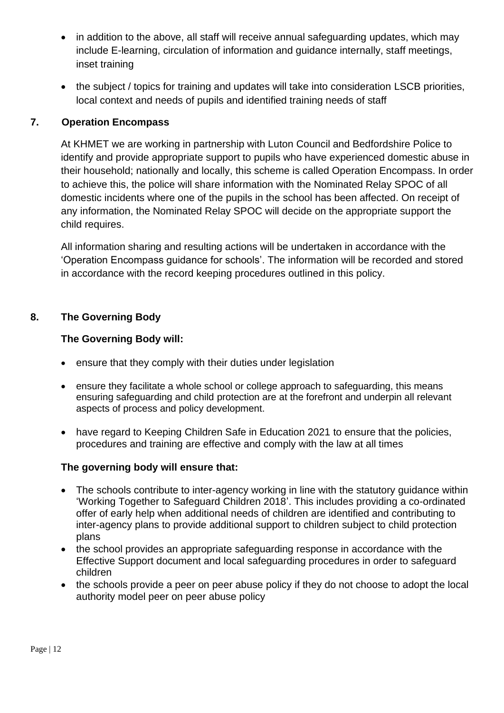- in addition to the above, all staff will receive annual safeguarding updates, which may include E-learning, circulation of information and guidance internally, staff meetings, inset training
- the subject / topics for training and updates will take into consideration LSCB priorities, local context and needs of pupils and identified training needs of staff

## <span id="page-11-0"></span>**7. Operation Encompass**

At KHMET we are working in partnership with Luton Council and Bedfordshire Police to identify and provide appropriate support to pupils who have experienced domestic abuse in their household; nationally and locally, this scheme is called Operation Encompass. In order to achieve this, the police will share information with the Nominated Relay SPOC of all domestic incidents where one of the pupils in the school has been affected. On receipt of any information, the Nominated Relay SPOC will decide on the appropriate support the child requires.

All information sharing and resulting actions will be undertaken in accordance with the 'Operation Encompass guidance for schools'. The information will be recorded and stored in accordance with the record keeping procedures outlined in this policy.

## <span id="page-11-1"></span>**8. The Governing Body**

#### **The Governing Body will:**

- ensure that they comply with their duties under legislation
- ensure they facilitate a whole school or college approach to safeguarding, this means ensuring safeguarding and child protection are at the forefront and underpin all relevant aspects of process and policy development.
- have regard to Keeping Children Safe in Education 2021 to ensure that the policies, procedures and training are effective and comply with the law at all times

#### **The governing body will ensure that:**

- The schools contribute to inter-agency working in line with the statutory guidance within 'Working Together to Safeguard Children 2018'. This includes providing a co-ordinated offer of early help when additional needs of children are identified and contributing to inter-agency plans to provide additional support to children subject to child protection plans
- the school provides an appropriate safeguarding response in accordance with the Effective Support document and local safeguarding procedures in order to safeguard children
- the schools provide a peer on peer abuse policy if they do not choose to adopt the local authority model peer on peer abuse policy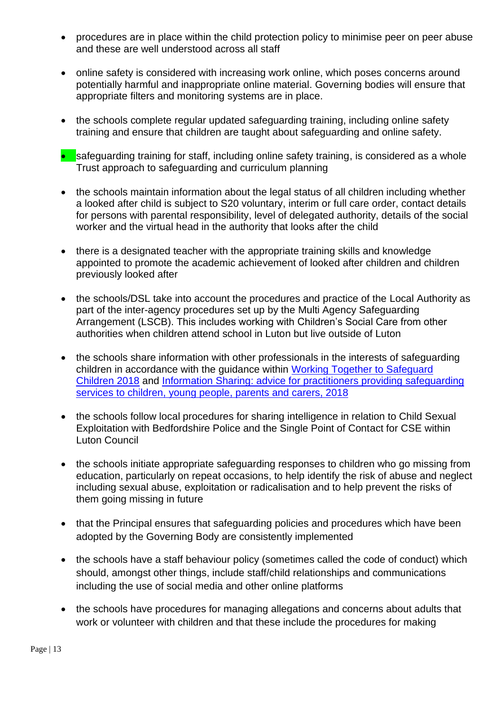- procedures are in place within the child protection policy to minimise peer on peer abuse and these are well understood across all staff
- online safety is considered with increasing work online, which poses concerns around potentially harmful and inappropriate online material. Governing bodies will ensure that appropriate filters and monitoring systems are in place.
- the schools complete regular updated safeguarding training, including online safety training and ensure that children are taught about safeguarding and online safety.
- $\bullet$  safeguarding training for staff, including online safety training, is considered as a whole Trust approach to safeguarding and curriculum planning
- the schools maintain information about the legal status of all children including whether a looked after child is subject to S20 voluntary, interim or full care order, contact details for persons with parental responsibility, level of delegated authority, details of the social worker and the virtual head in the authority that looks after the child
- there is a designated teacher with the appropriate training skills and knowledge appointed to promote the academic achievement of looked after children and children previously looked after
- the schools/DSL take into account the procedures and practice of the Local Authority as part of the inter-agency procedures set up by the Multi Agency Safeguarding Arrangement (LSCB). This includes working with Children's Social Care from other authorities when children attend school in Luton but live outside of Luton
- the schools share information with other professionals in the interests of safeguarding children in accordance with the guidance within [Working Together to Safeguard](https://assets.publishing.service.gov.uk/government/uploads/system/uploads/attachment_data/file/779401/Working_Together_to_Safeguard-Children.pdf)  [Children 2018](https://assets.publishing.service.gov.uk/government/uploads/system/uploads/attachment_data/file/779401/Working_Together_to_Safeguard-Children.pdf) and [Information Sharing: advice for practitioners providing safeguarding](https://www.gov.uk/government/publications/safeguarding-practitioners-information-sharing-advice)  [services to children, young people, parents and carers, 2018](https://www.gov.uk/government/publications/safeguarding-practitioners-information-sharing-advice)
- the schools follow local procedures for sharing intelligence in relation to Child Sexual Exploitation with Bedfordshire Police and the Single Point of Contact for CSE within Luton Council
- the schools initiate appropriate safeguarding responses to children who go missing from education, particularly on repeat occasions, to help identify the risk of abuse and neglect including sexual abuse, exploitation or radicalisation and to help prevent the risks of them going missing in future
- that the Principal ensures that safeguarding policies and procedures which have been adopted by the Governing Body are consistently implemented
- the schools have a staff behaviour policy (sometimes called the code of conduct) which should, amongst other things, include staff/child relationships and communications including the use of social media and other online platforms
- the schools have procedures for managing allegations and concerns about adults that work or volunteer with children and that these include the procedures for making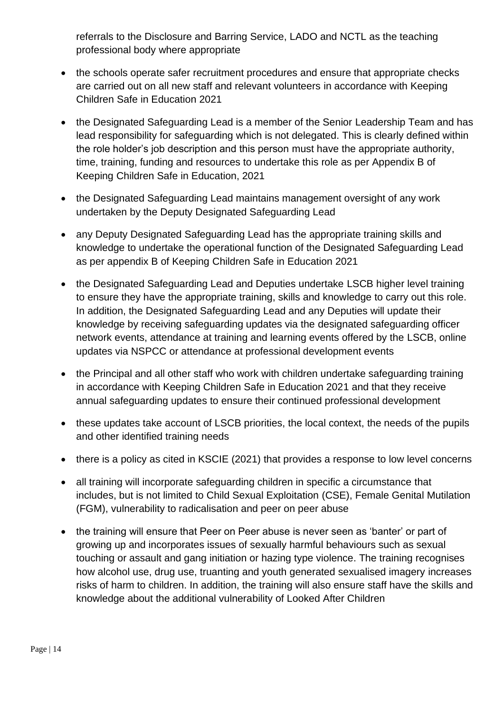referrals to the Disclosure and Barring Service, LADO and NCTL as the teaching professional body where appropriate

- the schools operate safer recruitment procedures and ensure that appropriate checks are carried out on all new staff and relevant volunteers in accordance with Keeping Children Safe in Education 2021
- the Designated Safeguarding Lead is a member of the Senior Leadership Team and has lead responsibility for safeguarding which is not delegated. This is clearly defined within the role holder's job description and this person must have the appropriate authority, time, training, funding and resources to undertake this role as per Appendix B of Keeping Children Safe in Education, 2021
- the Designated Safeguarding Lead maintains management oversight of any work undertaken by the Deputy Designated Safeguarding Lead
- any Deputy Designated Safeguarding Lead has the appropriate training skills and knowledge to undertake the operational function of the Designated Safeguarding Lead as per appendix B of Keeping Children Safe in Education 2021
- the Designated Safeguarding Lead and Deputies undertake LSCB higher level training to ensure they have the appropriate training, skills and knowledge to carry out this role. In addition, the Designated Safeguarding Lead and any Deputies will update their knowledge by receiving safeguarding updates via the designated safeguarding officer network events, attendance at training and learning events offered by the LSCB, online updates via NSPCC or attendance at professional development events
- the Principal and all other staff who work with children undertake safeguarding training in accordance with Keeping Children Safe in Education 2021 and that they receive annual safeguarding updates to ensure their continued professional development
- these updates take account of LSCB priorities, the local context, the needs of the pupils and other identified training needs
- there is a policy as cited in KSCIE (2021) that provides a response to low level concerns
- all training will incorporate safeguarding children in specific a circumstance that includes, but is not limited to Child Sexual Exploitation (CSE), Female Genital Mutilation (FGM), vulnerability to radicalisation and peer on peer abuse
- the training will ensure that Peer on Peer abuse is never seen as 'banter' or part of growing up and incorporates issues of sexually harmful behaviours such as sexual touching or assault and gang initiation or hazing type violence. The training recognises how alcohol use, drug use, truanting and youth generated sexualised imagery increases risks of harm to children. In addition, the training will also ensure staff have the skills and knowledge about the additional vulnerability of Looked After Children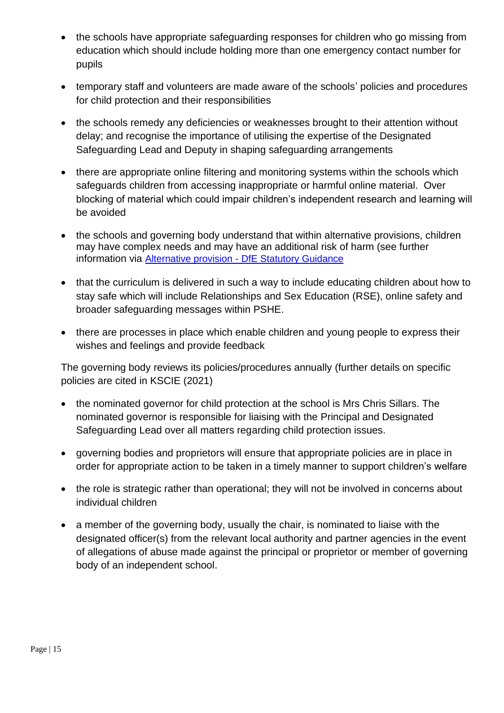- the schools have appropriate safeguarding responses for children who go missing from education which should include holding more than one emergency contact number for pupils
- temporary staff and volunteers are made aware of the schools' policies and procedures for child protection and their responsibilities
- the schools remedy any deficiencies or weaknesses brought to their attention without delay; and recognise the importance of utilising the expertise of the Designated Safeguarding Lead and Deputy in shaping safeguarding arrangements
- there are appropriate online filtering and monitoring systems within the schools which safeguards children from accessing inappropriate or harmful online material. Over blocking of material which could impair children's independent research and learning will be avoided
- the schools and governing body understand that within alternative provisions, children may have complex needs and may have an additional risk of harm (see further information via Alternative provision - [DfE Statutory Guidance](https://assets.publishing.service.gov.uk/government/uploads/system/uploads/attachment_data/file/942014/alternative_provision_statutory_guidance_accessible.pdf)
- that the curriculum is delivered in such a way to include educating children about how to stay safe which will include Relationships and Sex Education (RSE), online safety and broader safeguarding messages within PSHE.
- there are processes in place which enable children and young people to express their wishes and feelings and provide feedback

The governing body reviews its policies/procedures annually (further details on specific policies are cited in KSCIE (2021)

- the nominated governor for child protection at the school is Mrs Chris Sillars. The nominated governor is responsible for liaising with the Principal and Designated Safeguarding Lead over all matters regarding child protection issues.
- governing bodies and proprietors will ensure that appropriate policies are in place in order for appropriate action to be taken in a timely manner to support children's welfare
- the role is strategic rather than operational; they will not be involved in concerns about individual children
- a member of the governing body, usually the chair, is nominated to liaise with the designated officer(s) from the relevant local authority and partner agencies in the event of allegations of abuse made against the principal or proprietor or member of governing body of an independent school.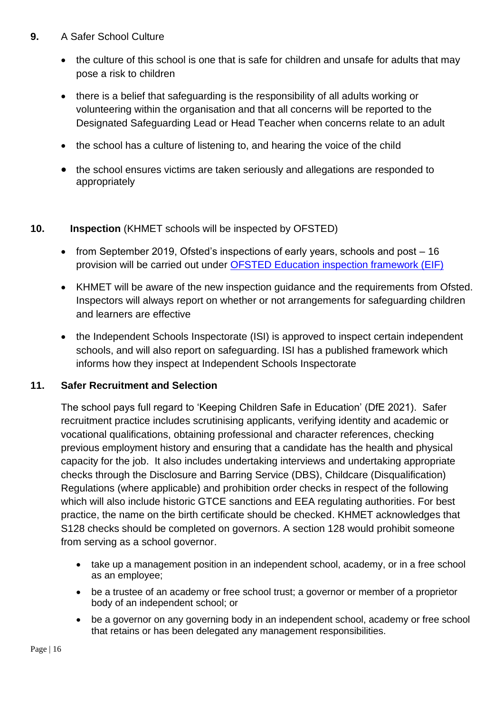#### **9.** A Safer School Culture

- the culture of this school is one that is safe for children and unsafe for adults that may pose a risk to children
- there is a belief that safeguarding is the responsibility of all adults working or volunteering within the organisation and that all concerns will be reported to the Designated Safeguarding Lead or Head Teacher when concerns relate to an adult
- the school has a culture of listening to, and hearing the voice of the child
- the school ensures victims are taken seriously and allegations are responded to appropriately

#### **10. Inspection** (KHMET schools will be inspected by OFSTED)

- from September 2019, Ofsted's inspections of early years, schools and post 16 provision will be carried out under [OFSTED Education inspection framework \(EIF\)](https://www.gov.uk/government/publications/education-inspection-framework)
- KHMET will be aware of the new inspection guidance and the requirements from Ofsted. Inspectors will always report on whether or not arrangements for safeguarding children and learners are effective
- the Independent Schools Inspectorate (ISI) is approved to inspect certain independent schools, and will also report on safeguarding. ISI has a published framework which informs how they inspect at Independent Schools Inspectorate

#### <span id="page-15-0"></span>**11. Safer Recruitment and Selection**

The school pays full regard to 'Keeping Children Safe in Education' (DfE 2021). Safer recruitment practice includes scrutinising applicants, verifying identity and academic or vocational qualifications, obtaining professional and character references, checking previous employment history and ensuring that a candidate has the health and physical capacity for the job. It also includes undertaking interviews and undertaking appropriate checks through the Disclosure and Barring Service (DBS), Childcare (Disqualification) Regulations (where applicable) and prohibition order checks in respect of the following which will also include historic GTCE sanctions and EEA regulating authorities. For best practice, the name on the birth certificate should be checked. KHMET acknowledges that S128 checks should be completed on governors. A section 128 would prohibit someone from serving as a school governor.

- take up a management position in an independent school, academy, or in a free school as an employee;
- be a trustee of an academy or free school trust; a governor or member of a proprietor body of an independent school; or
- be a governor on any governing body in an independent school, academy or free school that retains or has been delegated any management responsibilities.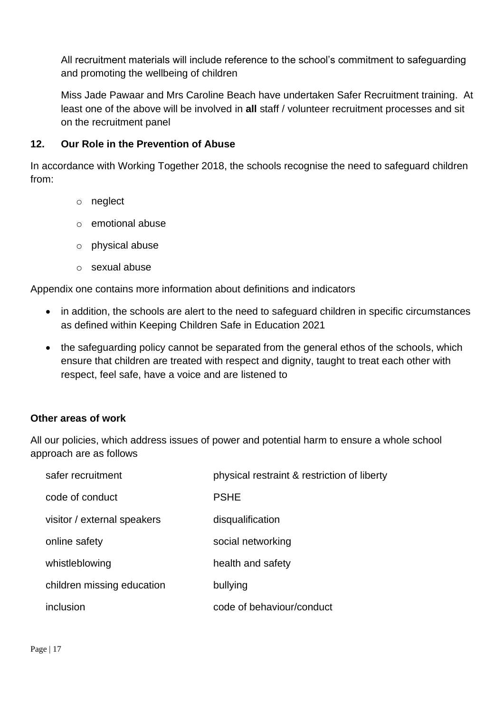All recruitment materials will include reference to the school's commitment to safeguarding and promoting the wellbeing of children

Miss Jade Pawaar and Mrs Caroline Beach have undertaken Safer Recruitment training. At least one of the above will be involved in **all** staff / volunteer recruitment processes and sit on the recruitment panel

#### <span id="page-16-0"></span>**12. Our Role in the Prevention of Abuse**

In accordance with Working Together 2018, the schools recognise the need to safeguard children from:

- o neglect
- o emotional abuse
- o physical abuse
- o sexual abuse

Appendix one contains more information about definitions and indicators

- in addition, the schools are alert to the need to safeguard children in specific circumstances as defined within Keeping Children Safe in Education 2021
- the safeguarding policy cannot be separated from the general ethos of the schools, which ensure that children are treated with respect and dignity, taught to treat each other with respect, feel safe, have a voice and are listened to

#### **Other areas of work**

All our policies, which address issues of power and potential harm to ensure a whole school approach are as follows

| safer recruitment           | physical restraint & restriction of liberty |
|-----------------------------|---------------------------------------------|
| code of conduct             | <b>PSHE</b>                                 |
| visitor / external speakers | disqualification                            |
| online safety               | social networking                           |
| whistleblowing              | health and safety                           |
| children missing education  | bullying                                    |
| inclusion                   | code of behaviour/conduct                   |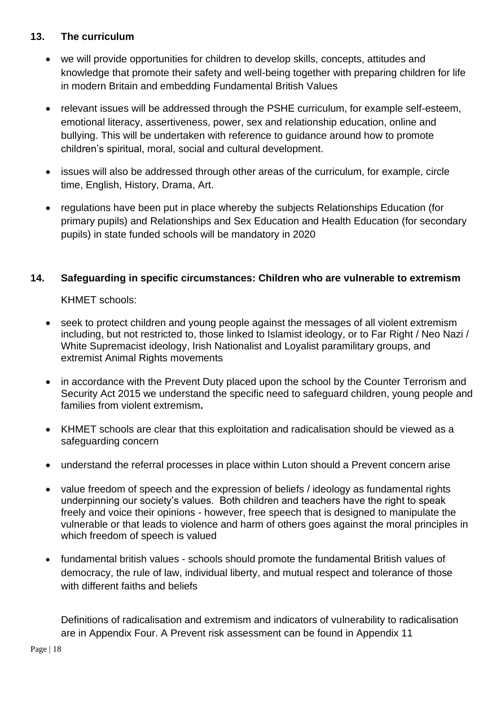#### <span id="page-17-0"></span>**13. The curriculum**

- we will provide opportunities for children to develop skills, concepts, attitudes and knowledge that promote their safety and well-being together with preparing children for life in modern Britain and embedding Fundamental British Values
- relevant issues will be addressed through the PSHE curriculum, for example self-esteem, emotional literacy, assertiveness, power, sex and relationship education, online and bullying. This will be undertaken with reference to guidance around how to promote children's spiritual, moral, social and cultural development.
- issues will also be addressed through other areas of the curriculum, for example, circle time, English, History, Drama, Art.
- regulations have been put in place whereby the subjects Relationships Education (for primary pupils) and Relationships and Sex Education and Health Education (for secondary pupils) in state funded schools will be mandatory in 2020

#### <span id="page-17-1"></span>**14. Safeguarding in specific circumstances: Children who are vulnerable to extremism**

KHMET schools:

- seek to protect children and young people against the messages of all violent extremism including, but not restricted to, those linked to Islamist ideology, or to Far Right / Neo Nazi / White Supremacist ideology, Irish Nationalist and Loyalist paramilitary groups, and extremist Animal Rights movements
- in accordance with the Prevent Duty placed upon the school by the Counter Terrorism and Security Act 2015 we understand the specific need to safeguard children, young people and families from violent extremism**.**
- KHMET schools are clear that this exploitation and radicalisation should be viewed as a safeguarding concern
- understand the referral processes in place within Luton should a Prevent concern arise
- value freedom of speech and the expression of beliefs / ideology as fundamental rights underpinning our society's values. Both children and teachers have the right to speak freely and voice their opinions - however, free speech that is designed to manipulate the vulnerable or that leads to violence and harm of others goes against the moral principles in which freedom of speech is valued
- fundamental british values schools should promote the fundamental British values of democracy, the rule of law, individual liberty, and mutual respect and tolerance of those with different faiths and beliefs

Definitions of radicalisation and extremism and indicators of vulnerability to radicalisation are in Appendix Four. A Prevent risk assessment can be found in Appendix 11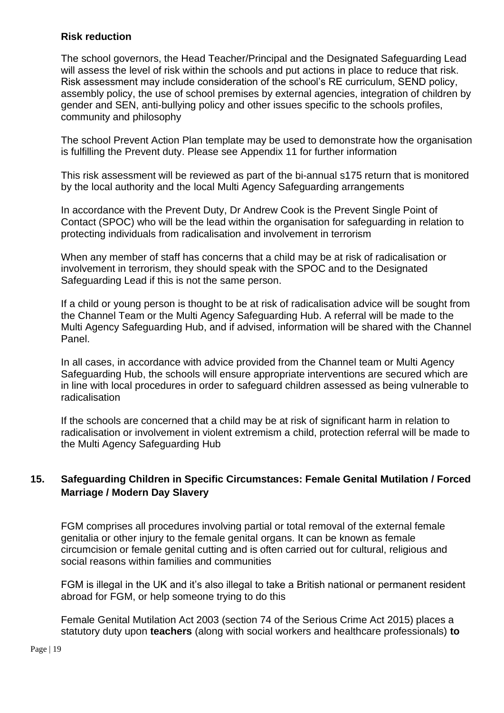#### **Risk reduction**

The school governors, the Head Teacher/Principal and the Designated Safeguarding Lead will assess the level of risk within the schools and put actions in place to reduce that risk. Risk assessment may include consideration of the school's RE curriculum, SEND policy, assembly policy, the use of school premises by external agencies, integration of children by gender and SEN, anti-bullying policy and other issues specific to the schools profiles, community and philosophy

The school Prevent Action Plan template may be used to demonstrate how the organisation is fulfilling the Prevent duty. Please see Appendix 11 for further information

This risk assessment will be reviewed as part of the bi-annual s175 return that is monitored by the local authority and the local Multi Agency Safeguarding arrangements

In accordance with the Prevent Duty, Dr Andrew Cook is the Prevent Single Point of Contact (SPOC) who will be the lead within the organisation for safeguarding in relation to protecting individuals from radicalisation and involvement in terrorism

When any member of staff has concerns that a child may be at risk of radicalisation or involvement in terrorism, they should speak with the SPOC and to the Designated Safeguarding Lead if this is not the same person.

If a child or young person is thought to be at risk of radicalisation advice will be sought from the Channel Team or the Multi Agency Safeguarding Hub. A referral will be made to the Multi Agency Safeguarding Hub, and if advised, information will be shared with the Channel Panel.

In all cases, in accordance with advice provided from the Channel team or Multi Agency Safeguarding Hub, the schools will ensure appropriate interventions are secured which are in line with local procedures in order to safeguard children assessed as being vulnerable to radicalisation

If the schools are concerned that a child may be at risk of significant harm in relation to radicalisation or involvement in violent extremism a child, protection referral will be made to the Multi Agency Safeguarding Hub

## <span id="page-18-0"></span>**15. Safeguarding Children in Specific Circumstances: Female Genital Mutilation / Forced Marriage / Modern Day Slavery**

FGM comprises all procedures involving partial or total removal of the external female genitalia or other injury to the female genital organs. It can be known as female circumcision or female genital cutting and is often carried out for cultural, religious and social reasons within families and communities

FGM is illegal in the UK and it's also illegal to take a British national or permanent resident abroad for FGM, or help someone trying to do this

Female Genital Mutilation Act 2003 (section 74 of the Serious Crime Act 2015) places a statutory duty upon **teachers** (along with social workers and healthcare professionals) **to**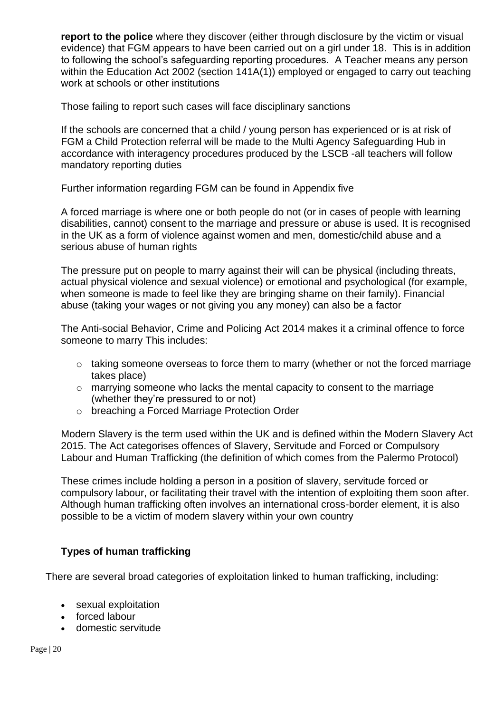**report to the police** where they discover (either through disclosure by the victim or visual evidence) that FGM appears to have been carried out on a girl under 18. This is in addition to following the school's safeguarding reporting procedures. A Teacher means any person within the Education Act 2002 (section 141A(1)) employed or engaged to carry out teaching work at schools or other institutions

Those failing to report such cases will face disciplinary sanctions

If the schools are concerned that a child / young person has experienced or is at risk of FGM a Child Protection referral will be made to the Multi Agency Safeguarding Hub in accordance with interagency procedures produced by the LSCB -all teachers will follow mandatory reporting duties

Further information regarding FGM can be found in Appendix five

A forced marriage is where one or both people do not (or in cases of people with learning disabilities, cannot) consent to the marriage and pressure or abuse is used. It is recognised in the UK as a form of violence against women and men, domestic/child abuse and a serious abuse of human rights

The pressure put on people to marry against their will can be physical (including threats, actual physical violence and sexual violence) or emotional and psychological (for example, when someone is made to feel like they are bringing shame on their family). Financial abuse (taking your wages or not giving you any money) can also be a factor

The Anti-social Behavior, Crime and Policing Act 2014 makes it a criminal offence to force someone to marry This includes:

- o taking someone overseas to force them to marry (whether or not the forced marriage takes place)
- o marrying someone who lacks the mental capacity to consent to the marriage (whether they're pressured to or not)
- o breaching a Forced Marriage Protection Order

Modern Slavery is the term used within the UK and is defined within the Modern Slavery Act 2015. The Act categorises offences of Slavery, Servitude and Forced or Compulsory Labour and Human Trafficking (the definition of which comes from the Palermo Protocol)

These crimes include holding a person in a position of slavery, servitude forced or compulsory labour, or facilitating their travel with the intention of exploiting them soon after. Although human trafficking often involves an international cross-border element, it is also possible to be a victim of modern slavery within your own country

#### **Types of human trafficking**

<span id="page-19-0"></span>There are several broad categories of exploitation linked to human trafficking, including:

- sexual exploitation
- forced labour
- domestic servitude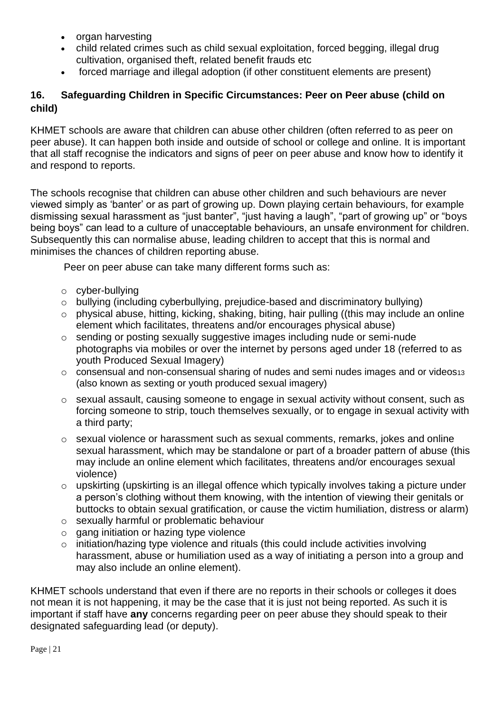- organ harvesting
- child related crimes such as child sexual exploitation, forced begging, illegal drug cultivation, organised theft, related benefit frauds etc
- forced marriage and illegal adoption (if other constituent elements are present)

## <span id="page-20-0"></span>**16. Safeguarding Children in Specific Circumstances: Peer on Peer abuse (child on child)**

KHMET schools are aware that children can abuse other children (often referred to as peer on peer abuse). It can happen both inside and outside of school or college and online. It is important that all staff recognise the indicators and signs of peer on peer abuse and know how to identify it and respond to reports.

The schools recognise that children can abuse other children and such behaviours are never viewed simply as 'banter' or as part of growing up. Down playing certain behaviours, for example dismissing sexual harassment as "just banter", "just having a laugh", "part of growing up" or "boys being boys" can lead to a culture of unacceptable behaviours, an unsafe environment for children. Subsequently this can normalise abuse, leading children to accept that this is normal and minimises the chances of children reporting abuse.

Peer on peer abuse can take many different forms such as:

- o cyber-bullying
- o bullying (including cyberbullying, prejudice-based and discriminatory bullying)
- o physical abuse, hitting, kicking, shaking, biting, hair pulling ((this may include an online element which facilitates, threatens and/or encourages physical abuse)
- o sending or posting sexually suggestive images including nude or semi-nude photographs via mobiles or over the internet by persons aged under 18 (referred to as youth Produced Sexual Imagery)
- o consensual and non-consensual sharing of nudes and semi nudes images and or videos<sup>13</sup> (also known as sexting or youth produced sexual imagery)
- o sexual assault, causing someone to engage in sexual activity without consent, such as forcing someone to strip, touch themselves sexually, or to engage in sexual activity with a third party;
- $\circ$  sexual violence or harassment such as sexual comments, remarks, jokes and online sexual harassment, which may be standalone or part of a broader pattern of abuse (this may include an online element which facilitates, threatens and/or encourages sexual violence)
- o upskirting (upskirting is an illegal offence which typically involves taking a picture under a person's clothing without them knowing, with the intention of viewing their genitals or buttocks to obtain sexual gratification, or cause the victim humiliation, distress or alarm)
- o sexually harmful or problematic behaviour
- $\circ$  gang initiation or hazing type violence
- o initiation/hazing type violence and rituals (this could include activities involving harassment, abuse or humiliation used as a way of initiating a person into a group and may also include an online element).

KHMET schools understand that even if there are no reports in their schools or colleges it does not mean it is not happening, it may be the case that it is just not being reported. As such it is important if staff have **any** concerns regarding peer on peer abuse they should speak to their designated safeguarding lead (or deputy).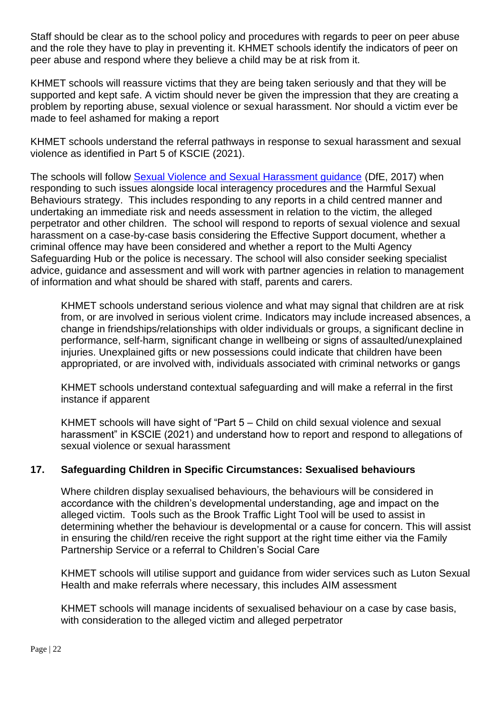Staff should be clear as to the school policy and procedures with regards to peer on peer abuse and the role they have to play in preventing it. KHMET schools identify the indicators of peer on peer abuse and respond where they believe a child may be at risk from it.

KHMET schools will reassure victims that they are being taken seriously and that they will be supported and kept safe. A victim should never be given the impression that they are creating a problem by reporting abuse, sexual violence or sexual harassment. Nor should a victim ever be made to feel ashamed for making a report

KHMET schools understand the referral pathways in response to sexual harassment and sexual violence as identified in Part 5 of KSCIE (2021).

The schools will follow [Sexual Violence and Sexual Harassment guidance](https://www.gov.uk/government/publications/sexual-violence-and-sexual-harassment-between-children-in-schools-and-colleges) (DfE, 2017) when responding to such issues alongside local interagency procedures and the Harmful Sexual Behaviours strategy. This includes responding to any reports in a child centred manner and undertaking an immediate risk and needs assessment in relation to the victim, the alleged perpetrator and other children. The school will respond to reports of sexual violence and sexual harassment on a case-by-case basis considering the Effective Support document, whether a criminal offence may have been considered and whether a report to the Multi Agency Safeguarding Hub or the police is necessary. The school will also consider seeking specialist advice, guidance and assessment and will work with partner agencies in relation to management of information and what should be shared with staff, parents and carers.

KHMET schools understand serious violence and what may signal that children are at risk from, or are involved in serious violent crime. Indicators may include increased absences, a change in friendships/relationships with older individuals or groups, a significant decline in performance, self-harm, significant change in wellbeing or signs of assaulted/unexplained injuries. Unexplained gifts or new possessions could indicate that children have been appropriated, or are involved with, individuals associated with criminal networks or gangs

KHMET schools understand contextual safeguarding and will make a referral in the first instance if apparent

KHMET schools will have sight of "Part 5 – Child on child sexual violence and sexual harassment" in KSCIE (2021) and understand how to report and respond to allegations of sexual violence or sexual harassment

#### <span id="page-21-0"></span>**17. Safeguarding Children in Specific Circumstances: Sexualised behaviours**

Where children display sexualised behaviours, the behaviours will be considered in accordance with the children's developmental understanding, age and impact on the alleged victim. Tools such as the Brook Traffic Light Tool will be used to assist in determining whether the behaviour is developmental or a cause for concern. This will assist in ensuring the child/ren receive the right support at the right time either via the Family Partnership Service or a referral to Children's Social Care

KHMET schools will utilise support and guidance from wider services such as Luton Sexual Health and make referrals where necessary, this includes AIM assessment

KHMET schools will manage incidents of sexualised behaviour on a case by case basis, with consideration to the alleged victim and alleged perpetrator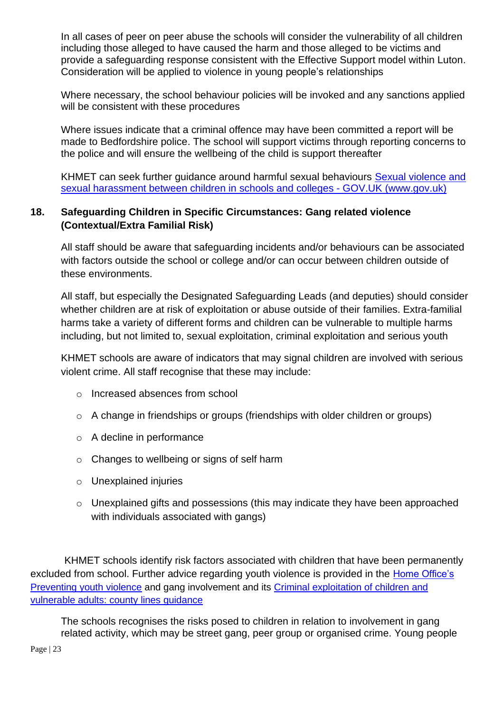In all cases of peer on peer abuse the schools will consider the vulnerability of all children including those alleged to have caused the harm and those alleged to be victims and provide a safeguarding response consistent with the Effective Support model within Luton. Consideration will be applied to violence in young people's relationships

Where necessary, the school behaviour policies will be invoked and any sanctions applied will be consistent with these procedures

Where issues indicate that a criminal offence may have been committed a report will be made to Bedfordshire police. The school will support victims through reporting concerns to the police and will ensure the wellbeing of the child is support thereafter

KHMET can seek further guidance around harmful sexual behaviours [Sexual violence and](https://www.gov.uk/government/publications/sexual-violence-and-sexual-harassment-between-children-in-schools-and-colleges)  [sexual harassment between children in schools and colleges -](https://www.gov.uk/government/publications/sexual-violence-and-sexual-harassment-between-children-in-schools-and-colleges) GOV.UK (www.gov.uk)

## <span id="page-22-0"></span>**18. Safeguarding Children in Specific Circumstances: Gang related violence (Contextual/Extra Familial Risk)**

All staff should be aware that safeguarding incidents and/or behaviours can be associated with factors outside the school or college and/or can occur between children outside of these environments.

All staff, but especially the Designated Safeguarding Leads (and deputies) should consider whether children are at risk of exploitation or abuse outside of their families. Extra-familial harms take a variety of different forms and children can be vulnerable to multiple harms including, but not limited to, sexual exploitation, criminal exploitation and serious youth

KHMET schools are aware of indicators that may signal children are involved with serious violent crime. All staff recognise that these may include:

- o Increased absences from school
- o A change in friendships or groups (friendships with older children or groups)
- o A decline in performance
- o Changes to wellbeing or signs of self harm
- o Unexplained injuries
- o Unexplained gifts and possessions (this may indicate they have been approached with individuals associated with gangs)

 KHMET schools identify risk factors associated with children that have been permanently excluded from school. Further advice regarding youth violence is provided in the [Home Office's](https://www.gov.uk/government/publications/advice-to-schools-and-colleges-on-gangs-and-youth-violence)  [Preventing youth violence](https://www.gov.uk/government/publications/advice-to-schools-and-colleges-on-gangs-and-youth-violence) and gang involvement and its [Criminal exploitation of children and](https://www.gov.uk/government/publications/criminal-exploitation-of-children-and-vulnerable-adults-county-lines)  [vulnerable adults: county lines guidance](https://www.gov.uk/government/publications/criminal-exploitation-of-children-and-vulnerable-adults-county-lines)

The schools recognises the risks posed to children in relation to involvement in gang related activity, which may be street gang, peer group or organised crime. Young people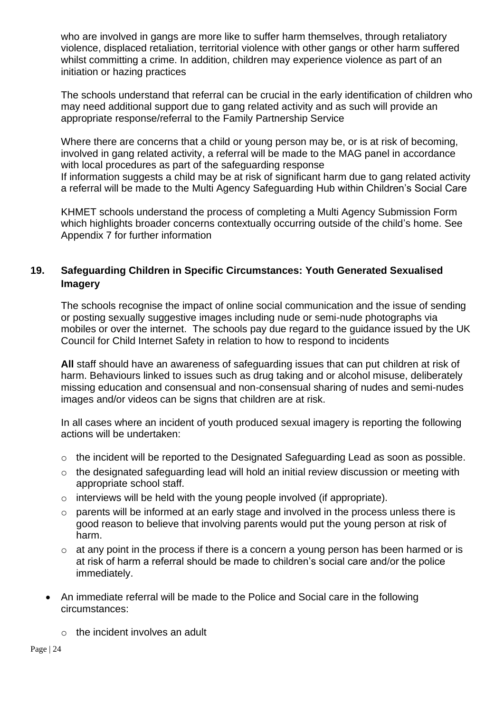who are involved in gangs are more like to suffer harm themselves, through retaliatory violence, displaced retaliation, territorial violence with other gangs or other harm suffered whilst committing a crime. In addition, children may experience violence as part of an initiation or hazing practices

The schools understand that referral can be crucial in the early identification of children who may need additional support due to gang related activity and as such will provide an appropriate response/referral to the Family Partnership Service

Where there are concerns that a child or young person may be, or is at risk of becoming, involved in gang related activity, a referral will be made to the MAG panel in accordance with local procedures as part of the safeguarding response If information suggests a child may be at risk of significant harm due to gang related activity a referral will be made to the Multi Agency Safeguarding Hub within Children's Social Care

KHMET schools understand the process of completing a Multi Agency Submission Form which highlights broader concerns contextually occurring outside of the child's home. See Appendix 7 for further information

#### <span id="page-23-0"></span>**19. Safeguarding Children in Specific Circumstances: Youth Generated Sexualised Imagery**

The schools recognise the impact of online social communication and the issue of sending or posting sexually suggestive images including nude or semi-nude photographs via mobiles or over the internet. The schools pay due regard to the guidance issued by the UK Council for Child Internet Safety in relation to how to respond to incidents

**All** staff should have an awareness of safeguarding issues that can put children at risk of harm. Behaviours linked to issues such as drug taking and or alcohol misuse, deliberately missing education and consensual and non-consensual sharing of nudes and semi-nudes images and/or videos can be signs that children are at risk.

In all cases where an incident of youth produced sexual imagery is reporting the following actions will be undertaken:

- o the incident will be reported to the Designated Safeguarding Lead as soon as possible.
- o the designated safeguarding lead will hold an initial review discussion or meeting with appropriate school staff.
- $\circ$  interviews will be held with the young people involved (if appropriate).
- o parents will be informed at an early stage and involved in the process unless there is good reason to believe that involving parents would put the young person at risk of harm.
- o at any point in the process if there is a concern a young person has been harmed or is at risk of harm a referral should be made to children's social care and/or the police immediately.
- An immediate referral will be made to the Police and Social care in the following circumstances:
	- $\circ$  the incident involves an adult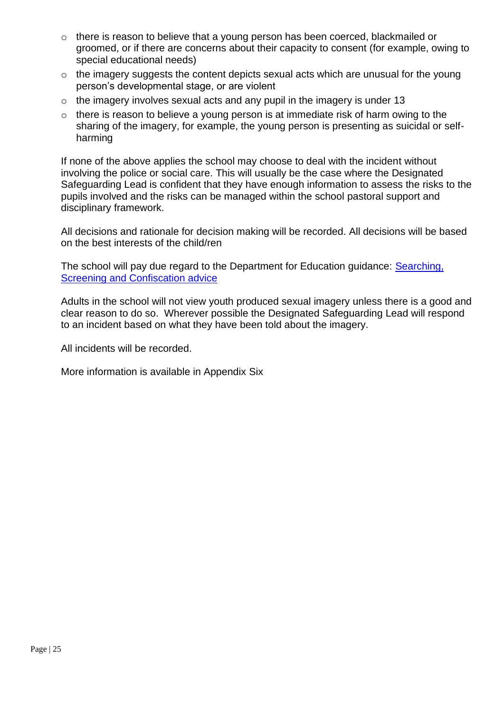- o there is reason to believe that a young person has been coerced, blackmailed or groomed, or if there are concerns about their capacity to consent (for example, owing to special educational needs)
- o the imagery suggests the content depicts sexual acts which are unusual for the young person's developmental stage, or are violent
- $\circ$  the imagery involves sexual acts and any pupil in the imagery is under 13
- $\circ$  there is reason to believe a young person is at immediate risk of harm owing to the sharing of the imagery, for example, the young person is presenting as suicidal or selfharming

If none of the above applies the school may choose to deal with the incident without involving the police or social care. This will usually be the case where the Designated Safeguarding Lead is confident that they have enough information to assess the risks to the pupils involved and the risks can be managed within the school pastoral support and disciplinary framework.

All decisions and rationale for decision making will be recorded. All decisions will be based on the best interests of the child/ren

The school will pay due regard to the Department for Education guidance: [Searching,](https://assets.publishing.service.gov.uk/government/uploads/system/uploads/attachment_data/file/674416/Searching_screening_and_confiscation.pdf)  [Screening and Confiscation advice](https://assets.publishing.service.gov.uk/government/uploads/system/uploads/attachment_data/file/674416/Searching_screening_and_confiscation.pdf)

Adults in the school will not view youth produced sexual imagery unless there is a good and clear reason to do so. Wherever possible the Designated Safeguarding Lead will respond to an incident based on what they have been told about the imagery.

All incidents will be recorded.

More information is available in Appendix Six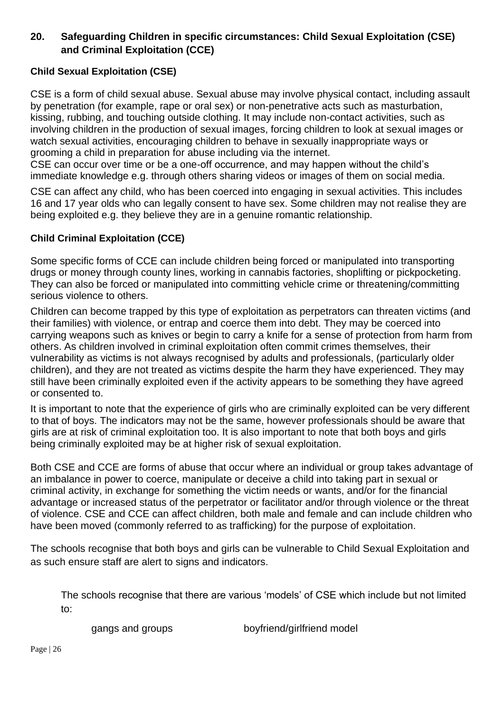## <span id="page-25-0"></span>**20. Safeguarding Children in specific circumstances: Child Sexual Exploitation (CSE) and Criminal Exploitation (CCE)**

#### **Child Sexual Exploitation (CSE)**

CSE is a form of child sexual abuse. Sexual abuse may involve physical contact, including assault by penetration (for example, rape or oral sex) or non-penetrative acts such as masturbation, kissing, rubbing, and touching outside clothing. It may include non-contact activities, such as involving children in the production of sexual images, forcing children to look at sexual images or watch sexual activities, encouraging children to behave in sexually inappropriate ways or grooming a child in preparation for abuse including via the internet.

CSE can occur over time or be a one-off occurrence, and may happen without the child's immediate knowledge e.g. through others sharing videos or images of them on social media.

CSE can affect any child, who has been coerced into engaging in sexual activities. This includes 16 and 17 year olds who can legally consent to have sex. Some children may not realise they are being exploited e.g. they believe they are in a genuine romantic relationship.

#### **Child Criminal Exploitation (CCE)**

Some specific forms of CCE can include children being forced or manipulated into transporting drugs or money through county lines, working in cannabis factories, shoplifting or pickpocketing. They can also be forced or manipulated into committing vehicle crime or threatening/committing serious violence to others.

Children can become trapped by this type of exploitation as perpetrators can threaten victims (and their families) with violence, or entrap and coerce them into debt. They may be coerced into carrying weapons such as knives or begin to carry a knife for a sense of protection from harm from others. As children involved in criminal exploitation often commit crimes themselves, their vulnerability as victims is not always recognised by adults and professionals, (particularly older children), and they are not treated as victims despite the harm they have experienced. They may still have been criminally exploited even if the activity appears to be something they have agreed or consented to.

It is important to note that the experience of girls who are criminally exploited can be very different to that of boys. The indicators may not be the same, however professionals should be aware that girls are at risk of criminal exploitation too. It is also important to note that both boys and girls being criminally exploited may be at higher risk of sexual exploitation.

Both CSE and CCE are forms of abuse that occur where an individual or group takes advantage of an imbalance in power to coerce, manipulate or deceive a child into taking part in sexual or criminal activity, in exchange for something the victim needs or wants, and/or for the financial advantage or increased status of the perpetrator or facilitator and/or through violence or the threat of violence. CSE and CCE can affect children, both male and female and can include children who have been moved (commonly referred to as trafficking) for the purpose of exploitation.

The schools recognise that both boys and girls can be vulnerable to Child Sexual Exploitation and as such ensure staff are alert to signs and indicators.

The schools recognise that there are various 'models' of CSE which include but not limited to:

gangs and groups boyfriend/girlfriend model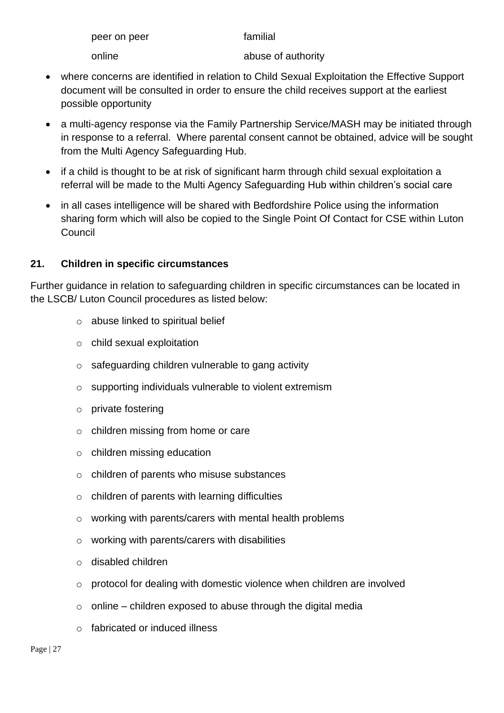| peer on peer | familial           |
|--------------|--------------------|
| online       | abuse of authority |

- where concerns are identified in relation to Child Sexual Exploitation the Effective Support document will be consulted in order to ensure the child receives support at the earliest possible opportunity
- a multi-agency response via the Family Partnership Service/MASH may be initiated through in response to a referral. Where parental consent cannot be obtained, advice will be sought from the Multi Agency Safeguarding Hub.
- if a child is thought to be at risk of significant harm through child sexual exploitation a referral will be made to the Multi Agency Safeguarding Hub within children's social care
- in all cases intelligence will be shared with Bedfordshire Police using the information sharing form which will also be copied to the Single Point Of Contact for CSE within Luton Council

## <span id="page-26-0"></span>**21. Children in specific circumstances**

Further guidance in relation to safeguarding children in specific circumstances can be located in the LSCB/ Luton Council procedures as listed below:

- o abuse linked to spiritual belief
- o child sexual exploitation
- o safeguarding children vulnerable to gang activity
- o supporting individuals vulnerable to violent extremism
- o private fostering
- o children missing from home or care
- o children missing education
- o children of parents who misuse substances
- o children of parents with learning difficulties
- o [working](http://www.proceduresonline.com/birmingham/scb/chapters/p_ch_par_mental_health.html) with parents/carers with mental health problems
- $\circ$  working with parents/carers with disabilities
- o disabled children
- o protocol for dealing with domestic violence when children are involved
- $\circ$  online children exposed to abuse through the digital media
- o fabricated or induced illness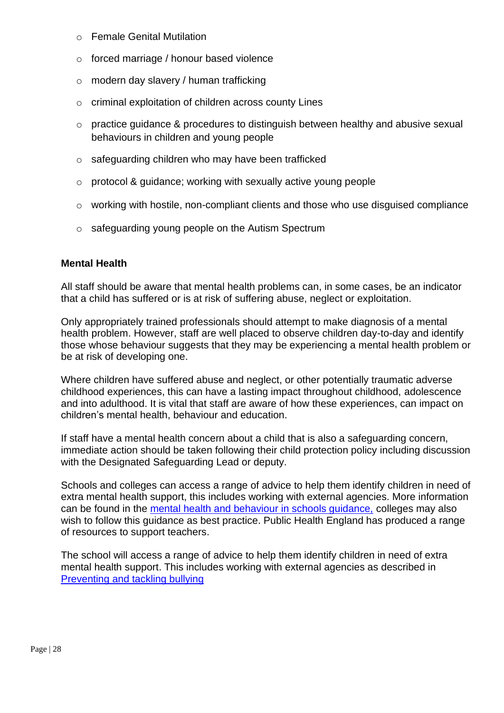- o Female Genital Mutilation
- o [forced marriage](http://www.proceduresonline.com/birmingham/scb/chapters/p_force_marriage.html) / honour based violence
- o modern day slavery / human trafficking
- o criminal exploitation of children across county Lines
- o practice guidance & procedures to distinguish between healthy and abusive sexual behaviours in children and young people
- o safeguarding children who may have been trafficked
- o protocol & guidance; working with sexually active young people
- o working with hostile, non-compliant clients and those who use disguised compliance
- o safeguarding young people on the Autism Spectrum

#### **Mental Health**

All staff should be aware that mental health problems can, in some cases, be an indicator that a child has suffered or is at risk of suffering abuse, neglect or exploitation.

Only appropriately trained professionals should attempt to make diagnosis of a mental health problem. However, staff are well placed to observe children day-to-day and identify those whose behaviour suggests that they may be experiencing a mental health problem or be at risk of developing one.

Where children have suffered abuse and neglect, or other potentially traumatic adverse childhood experiences, this can have a lasting impact throughout childhood, adolescence and into adulthood. It is vital that staff are aware of how these experiences, can impact on children's mental health, behaviour and education.

If staff have a mental health concern about a child that is also a safeguarding concern, immediate action should be taken following their child protection policy including discussion with the Designated Safeguarding Lead or deputy.

Schools and colleges can access a range of advice to help them identify children in need of extra mental health support, this includes working with external agencies. More information can be found in the [mental health and behaviour in schools guidance,](https://www.gov.uk/government/publications/mental-health-and-behaviour-in-schools--2) colleges may also wish to follow this guidance as best practice. Public Health England has produced a range of resources to support teachers.

The school will access a range of advice to help them identify children in need of extra mental health support. This includes working with external agencies as described in [Preventing and tackling bullying](https://assets.publishing.service.gov.uk/government/uploads/system/uploads/attachment_data/file/623895/Preventing_and_tackling_bullying_advice.pdf#:~:text=By%20effectively%20preventing%20and%20tackling%20bullying%2C%20schools%20can,bullying%20as%20part%20of%20their%20overall%20behaviour%20policy.)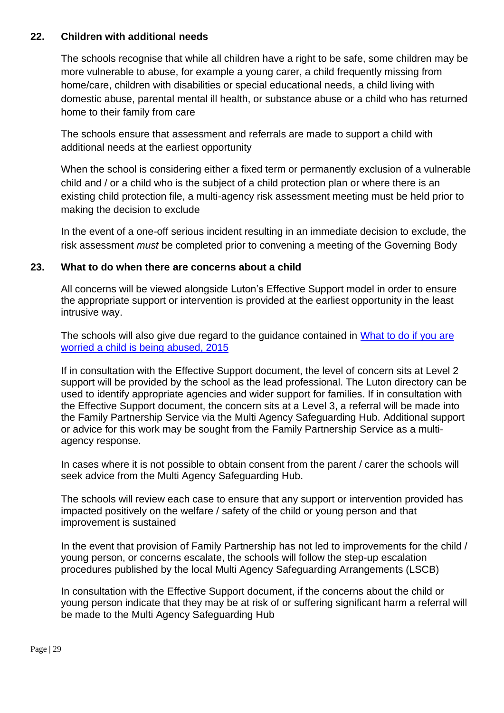#### <span id="page-28-0"></span>**22. Children with additional needs**

The schools recognise that while all children have a right to be safe, some children may be more vulnerable to abuse, for example a young carer, a child frequently missing from home/care, children with disabilities or special educational needs, a child living with domestic abuse, parental mental ill health, or substance abuse or a child who has returned home to their family from care

The schools ensure that assessment and referrals are made to support a child with additional needs at the earliest opportunity

When the school is considering either a fixed term or permanently exclusion of a vulnerable child and / or a child who is the subject of a child protection plan or where there is an existing child protection file, a multi-agency risk assessment meeting must be held prior to making the decision to exclude

In the event of a one-off serious incident resulting in an immediate decision to exclude, the risk assessment *must* be completed prior to convening a meeting of the Governing Body

#### <span id="page-28-1"></span>**23. What to do when there are concerns about a child**

All concerns will be viewed alongside Luton's Effective Support model in order to ensure the appropriate support or intervention is provided at the earliest opportunity in the least intrusive way.

The schools will also give due regard to the guidance contained in What to do if you are [worried a child is being abused, 2015](https://assets.publishing.service.gov.uk/government/uploads/system/uploads/attachment_data/file/419604/What_to_do_if_you_re_worried_a_child_is_being_abused.pdf)

If in consultation with the Effective Support document, the level of concern sits at Level 2 support will be provided by the school as the lead professional. The Luton directory can be used to identify appropriate agencies and wider support for families. If in consultation with the Effective Support document, the concern sits at a Level 3, a referral will be made into the Family Partnership Service via the Multi Agency Safeguarding Hub. Additional support or advice for this work may be sought from the Family Partnership Service as a multiagency response.

In cases where it is not possible to obtain consent from the parent / carer the schools will seek advice from the Multi Agency Safeguarding Hub.

The schools will review each case to ensure that any support or intervention provided has impacted positively on the welfare / safety of the child or young person and that improvement is sustained

In the event that provision of Family Partnership has not led to improvements for the child / young person, or concerns escalate, the schools will follow the step-up escalation procedures published by the local Multi Agency Safeguarding Arrangements (LSCB)

In consultation with the Effective Support document, if the concerns about the child or young person indicate that they may be at risk of or suffering significant harm a referral will be made to the Multi Agency Safeguarding Hub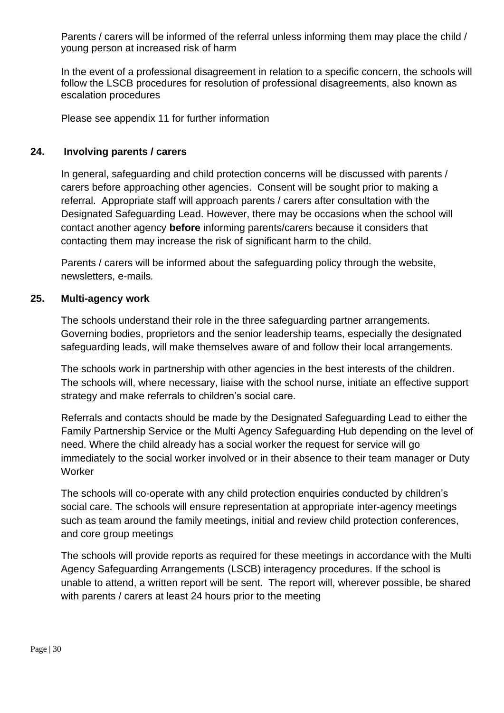Parents / carers will be informed of the referral unless informing them may place the child / young person at increased risk of harm

In the event of a professional disagreement in relation to a specific concern, the schools will follow the LSCB procedures for resolution of professional disagreements, also known as escalation procedures

Please see appendix 11 for further information

#### <span id="page-29-0"></span>**24. Involving parents / carers**

In general, safeguarding and child protection concerns will be discussed with parents / carers before approaching other agencies. Consent will be sought prior to making a referral. Appropriate staff will approach parents / carers after consultation with the Designated Safeguarding Lead. However, there may be occasions when the school will contact another agency **before** informing parents/carers because it considers that contacting them may increase the risk of significant harm to the child.

Parents / carers will be informed about the safeguarding policy through the website, newsletters, e-mails*.*

#### <span id="page-29-1"></span>**25. Multi-agency work**

The schools understand their role in the three safeguarding partner arrangements. Governing bodies, proprietors and the senior leadership teams, especially the designated safeguarding leads, will make themselves aware of and follow their local arrangements.

The schools work in partnership with other agencies in the best interests of the children. The schools will, where necessary, liaise with the school nurse, initiate an effective support strategy and make referrals to children's social care.

Referrals and contacts should be made by the Designated Safeguarding Lead to either the Family Partnership Service or the Multi Agency Safeguarding Hub depending on the level of need. Where the child already has a social worker the request for service will go immediately to the social worker involved or in their absence to their team manager or Duty **Worker** 

The schools will co-operate with any child protection enquiries conducted by children's social care. The schools will ensure representation at appropriate inter-agency meetings such as team around the family meetings, initial and review child protection conferences, and core group meetings

The schools will provide reports as required for these meetings in accordance with the Multi Agency Safeguarding Arrangements (LSCB) interagency procedures. If the school is unable to attend, a written report will be sent. The report will, wherever possible, be shared with parents / carers at least 24 hours prior to the meeting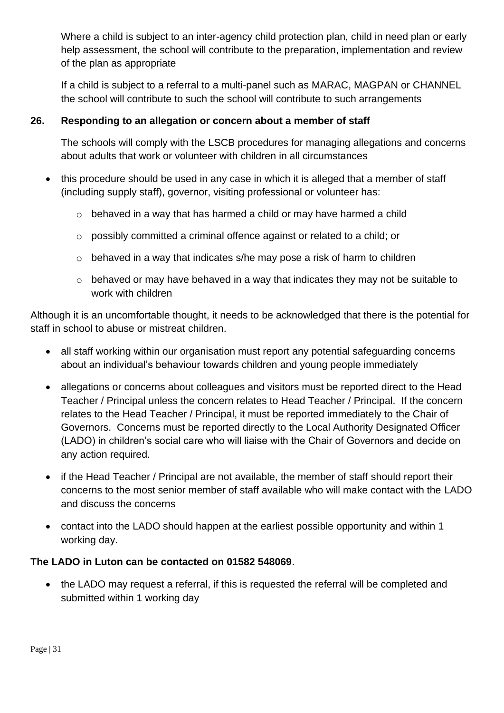Where a child is subject to an inter-agency child protection plan, child in need plan or early help assessment, the school will contribute to the preparation, implementation and review of the plan as appropriate

If a child is subject to a referral to a multi-panel such as MARAC, MAGPAN or CHANNEL the school will contribute to such the school will contribute to such arrangements

## <span id="page-30-0"></span>**26. Responding to an allegation or concern about a member of staff**

The schools will comply with the LSCB procedures for managing allegations and concerns about adults that work or volunteer with children in all circumstances

- this procedure should be used in any case in which it is alleged that a member of staff (including supply staff), governor, visiting professional or volunteer has:
	- $\circ$  behaved in a way that has harmed a child or may have harmed a child
	- o possibly committed a criminal offence against or related to a child; or
	- o behaved in a way that indicates s/he may pose a risk of harm to children
	- o behaved or may have behaved in a way that indicates they may not be suitable to work with children

Although it is an uncomfortable thought, it needs to be acknowledged that there is the potential for staff in school to abuse or mistreat children.

- all staff working within our organisation must report any potential safeguarding concerns about an individual's behaviour towards children and young people immediately
- allegations or concerns about colleagues and visitors must be reported direct to the Head Teacher / Principal unless the concern relates to Head Teacher / Principal. If the concern relates to the Head Teacher / Principal, it must be reported immediately to the Chair of Governors. Concerns must be reported directly to the Local Authority Designated Officer (LADO) in children's social care who will liaise with the Chair of Governors and decide on any action required.
- if the Head Teacher / Principal are not available, the member of staff should report their concerns to the most senior member of staff available who will make contact with the LADO and discuss the concerns
- contact into the LADO should happen at the earliest possible opportunity and within 1 working day.

## **The LADO in Luton can be contacted on 01582 548069**.

• the LADO may request a referral, if this is requested the referral will be completed and submitted within 1 working day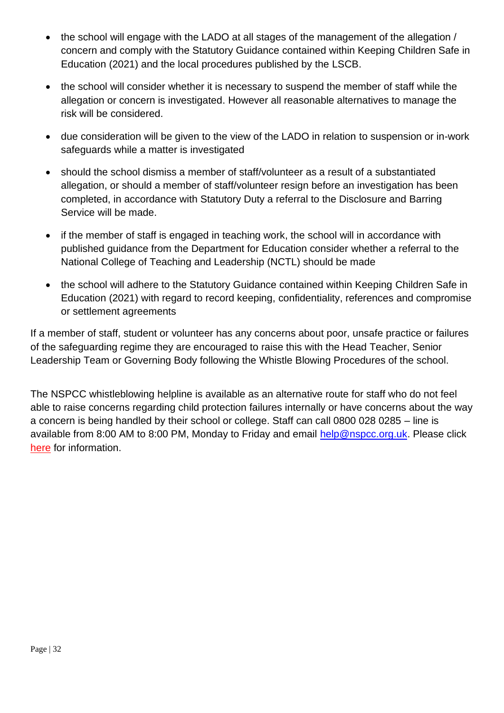- the school will engage with the LADO at all stages of the management of the allegation / concern and comply with the Statutory Guidance contained within Keeping Children Safe in Education (2021) and the local procedures published by the LSCB.
- the school will consider whether it is necessary to suspend the member of staff while the allegation or concern is investigated. However all reasonable alternatives to manage the risk will be considered.
- due consideration will be given to the view of the LADO in relation to suspension or in-work safeguards while a matter is investigated
- should the school dismiss a member of staff/volunteer as a result of a substantiated allegation, or should a member of staff/volunteer resign before an investigation has been completed, in accordance with Statutory Duty a referral to the Disclosure and Barring Service will be made.
- if the member of staff is engaged in teaching work, the school will in accordance with published guidance from the Department for Education consider whether a referral to the National College of Teaching and Leadership (NCTL) should be made
- the school will adhere to the Statutory Guidance contained within Keeping Children Safe in Education (2021) with regard to record keeping, confidentiality, references and compromise or settlement agreements

If a member of staff, student or volunteer has any concerns about poor, unsafe practice or failures of the safeguarding regime they are encouraged to raise this with the Head Teacher, Senior Leadership Team or Governing Body following the Whistle Blowing Procedures of the school.

The NSPCC whistleblowing helpline is available as an alternative route for staff who do not feel able to raise concerns regarding child protection failures internally or have concerns about the way a concern is being handled by their school or college. Staff can call 0800 028 0285 – line is available from 8:00 AM to 8:00 PM, Monday to Friday and email [help@nspcc.org.uk.](mailto:help@nspcc.org.uk) Please click [here](https://www.nspcc.org.uk/what-you-can-do/report-abuse/dedicated-helplines/whistleblowing-advice-line/) for information.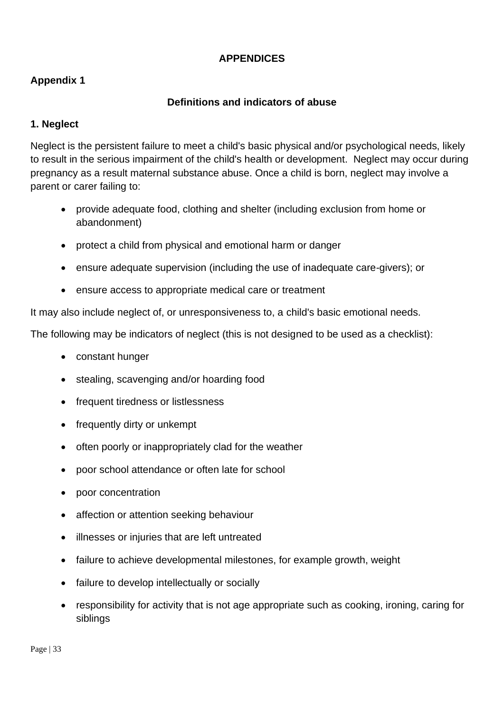#### **APPENDICES**

## <span id="page-32-0"></span>**Appendix 1**

#### **Definitions and indicators of abuse**

#### **1. Neglect**

Neglect is the persistent failure to meet a child's basic physical and/or psychological needs, likely to result in the serious impairment of the child's health or development. Neglect may occur during pregnancy as a result maternal substance abuse. Once a child is born, neglect may involve a parent or carer failing to:

- provide adequate food, clothing and shelter (including exclusion from home or abandonment)
- protect a child from physical and emotional harm or danger
- ensure adequate supervision (including the use of inadequate care-givers); or
- ensure access to appropriate medical care or treatment

It may also include neglect of, or unresponsiveness to, a child's basic emotional needs.

The following may be indicators of neglect (this is not designed to be used as a checklist):

- constant hunger
- stealing, scavenging and/or hoarding food
- frequent tiredness or listlessness
- frequently dirty or unkempt
- often poorly or inappropriately clad for the weather
- poor school attendance or often late for school
- poor concentration
- affection or attention seeking behaviour
- illnesses or injuries that are left untreated
- failure to achieve developmental milestones, for example growth, weight
- failure to develop intellectually or socially
- responsibility for activity that is not age appropriate such as cooking, ironing, caring for siblings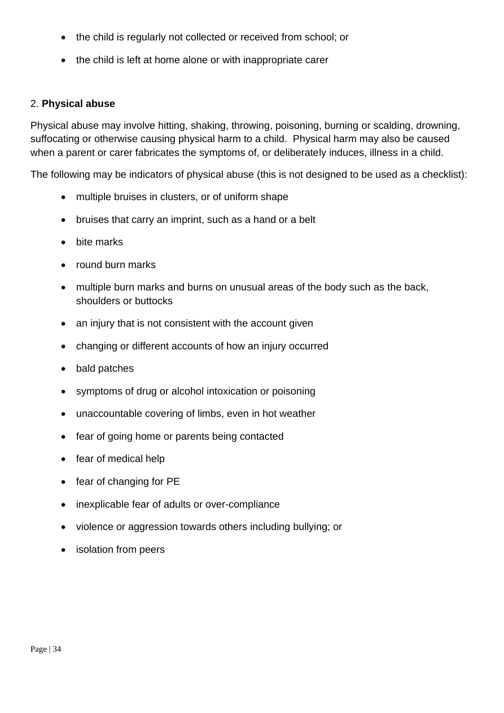- the child is regularly not collected or received from school; or
- the child is left at home alone or with inappropriate carer

#### 2. **Physical abuse**

Physical abuse may involve hitting, shaking, throwing, poisoning, burning or scalding, drowning, suffocating or otherwise causing physical harm to a child. Physical harm may also be caused when a parent or carer fabricates the symptoms of, or deliberately induces, illness in a child.

The following may be indicators of physical abuse (this is not designed to be used as a checklist):

- multiple bruises in clusters, or of uniform shape
- bruises that carry an imprint, such as a hand or a belt
- bite marks
- round burn marks
- multiple burn marks and burns on unusual areas of the body such as the back, shoulders or buttocks
- an injury that is not consistent with the account given
- changing or different accounts of how an injury occurred
- bald patches
- symptoms of drug or alcohol intoxication or poisoning
- unaccountable covering of limbs, even in hot weather
- fear of going home or parents being contacted
- fear of medical help
- fear of changing for PE
- inexplicable fear of adults or over-compliance
- violence or aggression towards others including bullying; or
- isolation from peers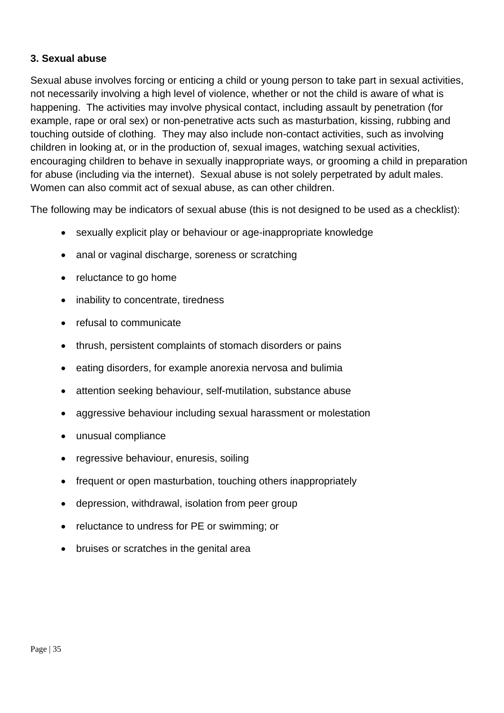#### **3. Sexual abuse**

Sexual abuse involves forcing or enticing a child or young person to take part in sexual activities, not necessarily involving a high level of violence, whether or not the child is aware of what is happening. The activities may involve physical contact, including assault by penetration (for example, rape or oral sex) or non-penetrative acts such as masturbation, kissing, rubbing and touching outside of clothing*.* They may also include non-contact activities, such as involving children in looking at, or in the production of, sexual images, watching sexual activities, encouraging children to behave in sexually inappropriate ways, or grooming a child in preparation for abuse (including via the internet). Sexual abuse is not solely perpetrated by adult males. Women can also commit act of sexual abuse, as can other children.

The following may be indicators of sexual abuse (this is not designed to be used as a checklist):

- sexually explicit play or behaviour or age-inappropriate knowledge
- anal or vaginal discharge, soreness or scratching
- reluctance to go home
- inability to concentrate, tiredness
- refusal to communicate
- thrush, persistent complaints of stomach disorders or pains
- eating disorders, for example anorexia nervosa and bulimia
- attention seeking behaviour, self-mutilation, substance abuse
- aggressive behaviour including sexual harassment or molestation
- unusual compliance
- regressive behaviour, enuresis, soiling
- frequent or open masturbation, touching others inappropriately
- depression, withdrawal, isolation from peer group
- reluctance to undress for PE or swimming; or
- bruises or scratches in the genital area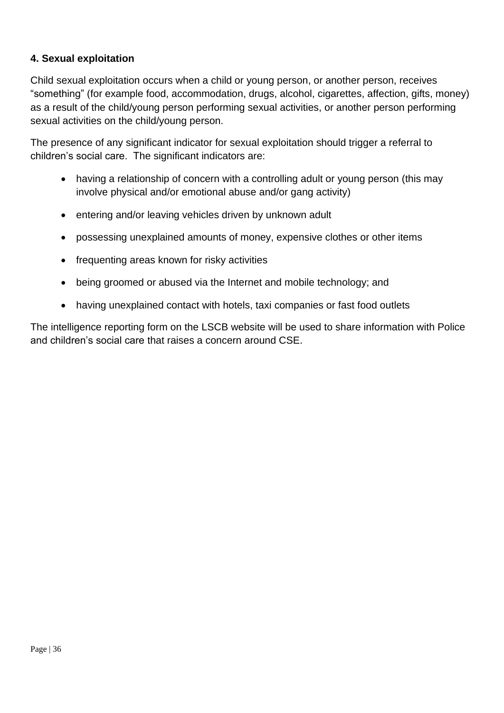## **4. Sexual exploitation**

Child sexual exploitation occurs when a child or young person, or another person, receives "something" (for example food, accommodation, drugs, alcohol, cigarettes, affection, gifts, money) as a result of the child/young person performing sexual activities, or another person performing sexual activities on the child/young person.

The presence of any significant indicator for sexual exploitation should trigger a referral to children's social care. The significant indicators are:

- having a relationship of concern with a controlling adult or young person (this may involve physical and/or emotional abuse and/or gang activity)
- entering and/or leaving vehicles driven by unknown adult
- possessing unexplained amounts of money, expensive clothes or other items
- frequenting areas known for risky activities
- being groomed or abused via the Internet and mobile technology; and
- having unexplained contact with hotels, taxi companies or fast food outlets

The intelligence reporting form on the LSCB website will be used to share information with Police and children's social care that raises a concern around CSE.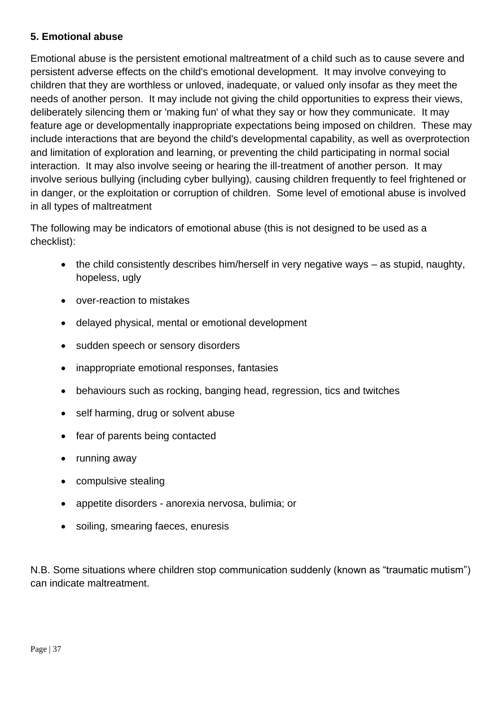#### **5. Emotional abuse**

Emotional abuse is the persistent emotional maltreatment of a child such as to cause severe and persistent adverse effects on the child's emotional development. It may involve conveying to children that they are worthless or unloved, inadequate, or valued only insofar as they meet the needs of another person. It may include not giving the child opportunities to express their views, deliberately silencing them or 'making fun' of what they say or how they communicate. It may feature age or developmentally inappropriate expectations being imposed on children. These may include interactions that are beyond the child's developmental capability, as well as overprotection and limitation of exploration and learning, or preventing the child participating in normal social interaction. It may also involve seeing or hearing the ill-treatment of another person. It may involve serious bullying (including cyber bullying)*,* causing children frequently to feel frightened or in danger, or the exploitation or corruption of children. Some level of emotional abuse is involved in all types of maltreatment

The following may be indicators of emotional abuse (this is not designed to be used as a checklist):

- the child consistently describes him/herself in very negative ways as stupid, naughty, hopeless, ugly
- over-reaction to mistakes
- delayed physical, mental or emotional development
- sudden speech or sensory disorders
- inappropriate emotional responses, fantasies
- behaviours such as rocking, banging head, regression, tics and twitches
- self harming, drug or solvent abuse
- fear of parents being contacted
- running away
- compulsive stealing
- appetite disorders anorexia nervosa, bulimia; or
- soiling, smearing faeces, enuresis

N.B. Some situations where children stop communication suddenly (known as "traumatic mutism") can indicate maltreatment.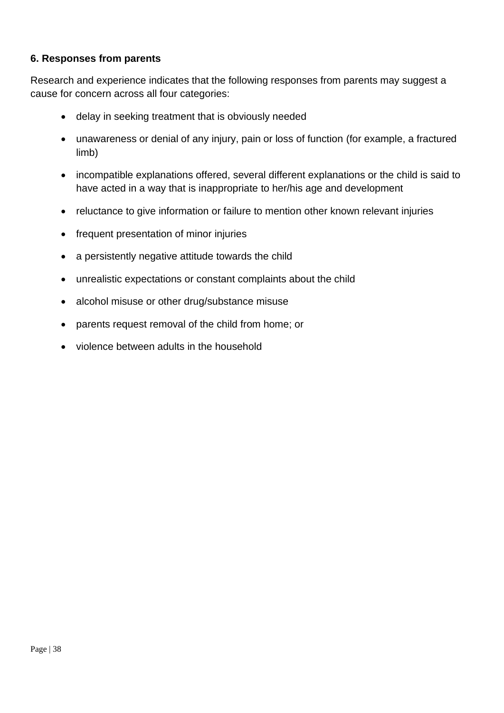#### **6. Responses from parents**

Research and experience indicates that the following responses from parents may suggest a cause for concern across all four categories:

- delay in seeking treatment that is obviously needed
- unawareness or denial of any injury, pain or loss of function (for example, a fractured limb)
- incompatible explanations offered, several different explanations or the child is said to have acted in a way that is inappropriate to her/his age and development
- reluctance to give information or failure to mention other known relevant injuries
- frequent presentation of minor injuries
- a persistently negative attitude towards the child
- unrealistic expectations or constant complaints about the child
- alcohol misuse or other drug/substance misuse
- parents request removal of the child from home; or
- violence between adults in the household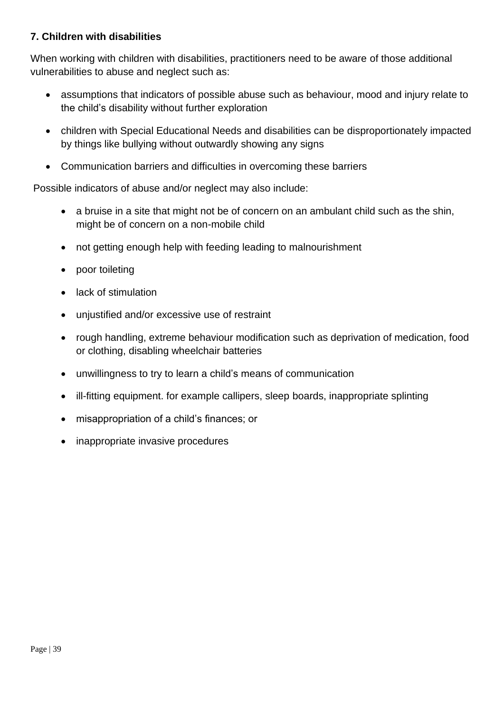#### **7. Children with disabilities**

When working with children with disabilities, practitioners need to be aware of those additional vulnerabilities to abuse and neglect such as:

- assumptions that indicators of possible abuse such as behaviour, mood and injury relate to the child's disability without further exploration
- children with Special Educational Needs and disabilities can be disproportionately impacted by things like bullying without outwardly showing any signs
- Communication barriers and difficulties in overcoming these barriers

Possible indicators of abuse and/or neglect may also include:

- a bruise in a site that might not be of concern on an ambulant child such as the shin, might be of concern on a non-mobile child
- not getting enough help with feeding leading to malnourishment
- poor toileting
- lack of stimulation
- unjustified and/or excessive use of restraint
- rough handling, extreme behaviour modification such as deprivation of medication, food or clothing, disabling wheelchair batteries
- unwillingness to try to learn a child's means of communication
- ill-fitting equipment. for example callipers, sleep boards, inappropriate splinting
- misappropriation of a child's finances; or
- inappropriate invasive procedures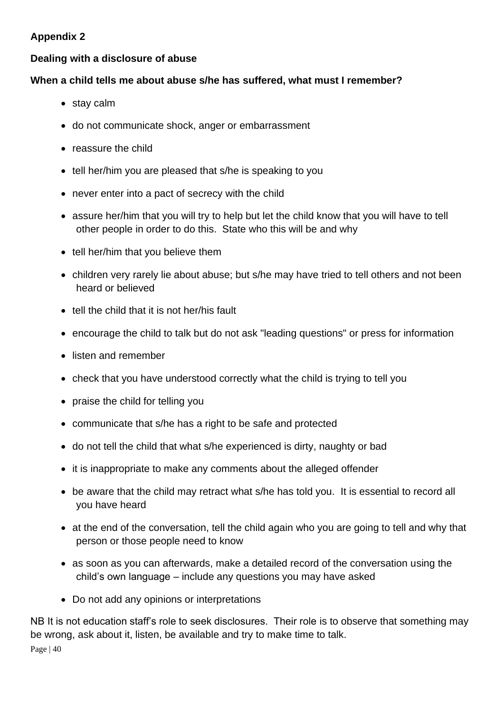## <span id="page-39-0"></span>**Appendix 2**

## <span id="page-39-1"></span>**Dealing with a disclosure of abuse**

#### **When a child tells me about abuse s/he has suffered, what must I remember?**

- stay calm
- do not communicate shock, anger or embarrassment
- reassure the child
- tell her/him you are pleased that s/he is speaking to you
- never enter into a pact of secrecy with the child
- assure her/him that you will try to help but let the child know that you will have to tell other people in order to do this. State who this will be and why
- tell her/him that you believe them
- children very rarely lie about abuse; but s/he may have tried to tell others and not been heard or believed
- tell the child that it is not her/his fault
- encourage the child to talk but do not ask "leading questions" or press for information
- listen and remember
- check that you have understood correctly what the child is trying to tell you
- praise the child for telling you
- communicate that s/he has a right to be safe and protected
- do not tell the child that what s/he experienced is dirty, naughty or bad
- it is inappropriate to make any comments about the alleged offender
- be aware that the child may retract what s/he has told you. It is essential to record all you have heard
- at the end of the conversation, tell the child again who you are going to tell and why that person or those people need to know
- as soon as you can afterwards, make a detailed record of the conversation using the child's own language – include any questions you may have asked
- Do not add any opinions or interpretations

Page | 40 NB It is not education staff's role to seek disclosures. Their role is to observe that something may be wrong, ask about it, listen, be available and try to make time to talk.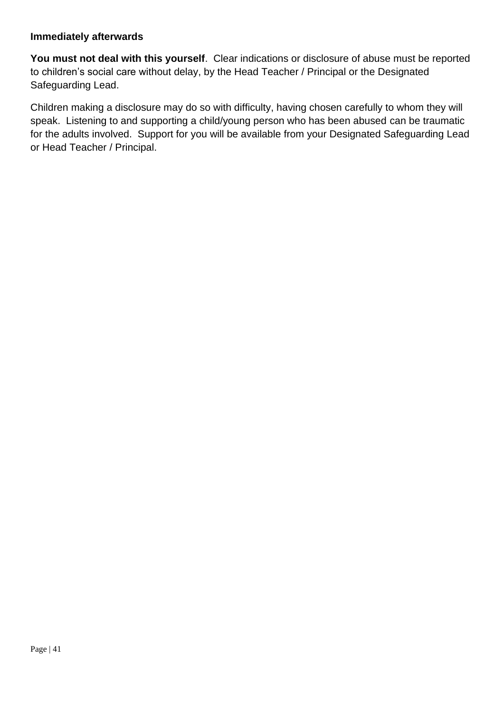#### **Immediately afterwards**

**You must not deal with this yourself**. Clear indications or disclosure of abuse must be reported to children's social care without delay, by the Head Teacher / Principal or the Designated Safeguarding Lead.

Children making a disclosure may do so with difficulty, having chosen carefully to whom they will speak. Listening to and supporting a child/young person who has been abused can be traumatic for the adults involved. Support for you will be available from your Designated Safeguarding Lead or Head Teacher / Principal.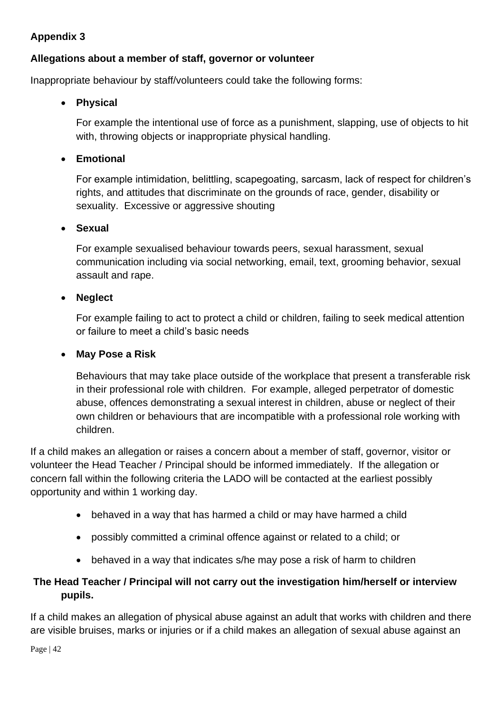## **Appendix 3**

## <span id="page-41-0"></span>**Allegations about a member of staff, governor or volunteer**

Inappropriate behaviour by staff/volunteers could take the following forms:

#### • **Physical**

For example the intentional use of force as a punishment, slapping, use of objects to hit with, throwing objects or inappropriate physical handling.

#### • **Emotional**

For example intimidation, belittling, scapegoating, sarcasm, lack of respect for children's rights, and attitudes that discriminate on the grounds of race, gender, disability or sexuality. Excessive or aggressive shouting

#### • **Sexual**

For example sexualised behaviour towards peers, sexual harassment, sexual communication including via social networking, email, text, grooming behavior, sexual assault and rape.

#### • **Neglect**

For example failing to act to protect a child or children, failing to seek medical attention or failure to meet a child's basic needs

#### • **May Pose a Risk**

Behaviours that may take place outside of the workplace that present a transferable risk in their professional role with children. For example, alleged perpetrator of domestic abuse, offences demonstrating a sexual interest in children, abuse or neglect of their own children or behaviours that are incompatible with a professional role working with children.

If a child makes an allegation or raises a concern about a member of staff, governor, visitor or volunteer the Head Teacher / Principal should be informed immediately. If the allegation or concern fall within the following criteria the LADO will be contacted at the earliest possibly opportunity and within 1 working day.

- behaved in a way that has harmed a child or may have harmed a child
- possibly committed a criminal offence against or related to a child; or
- behaved in a way that indicates s/he may pose a risk of harm to children

## **The Head Teacher / Principal will not carry out the investigation him/herself or interview pupils.**

If a child makes an allegation of physical abuse against an adult that works with children and there are visible bruises, marks or injuries or if a child makes an allegation of sexual abuse against an

Page | 42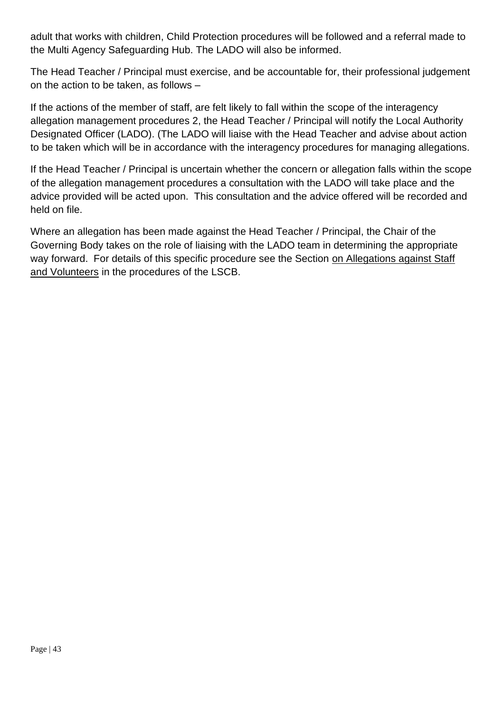adult that works with children, Child Protection procedures will be followed and a referral made to the Multi Agency Safeguarding Hub. The LADO will also be informed.

The Head Teacher / Principal must exercise, and be accountable for, their professional judgement on the action to be taken, as follows –

If the actions of the member of staff, are felt likely to fall within the scope of the interagency allegation management procedures 2, the Head Teacher / Principal will notify the Local Authority Designated Officer (LADO). (The LADO will liaise with the Head Teacher and advise about action to be taken which will be in accordance with the interagency procedures for managing allegations.

If the Head Teacher / Principal is uncertain whether the concern or allegation falls within the scope of the allegation management procedures a consultation with the LADO will take place and the advice provided will be acted upon. This consultation and the advice offered will be recorded and held on file.

Where an allegation has been made against the Head Teacher / Principal, the Chair of the Governing Body takes on the role of liaising with the LADO team in determining the appropriate way forward. For details of this specific procedure see the Section on Allegations against Staff [and Volunteers](http://lutonlscb.org.uk/allegations.html) in the procedures of the LSCB.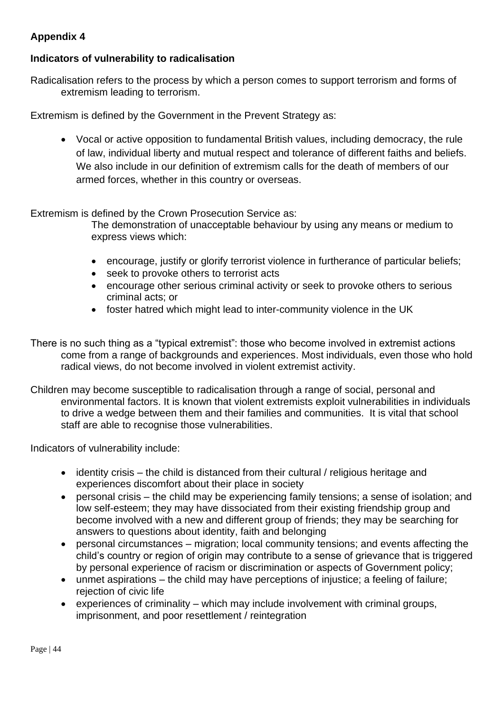## <span id="page-43-0"></span>**Appendix 4**

## <span id="page-43-1"></span>**Indicators of vulnerability to radicalisation**

Radicalisation refers to the process by which a person comes to support terrorism and forms of extremism leading to terrorism.

Extremism is defined by the Government in the Prevent Strategy as:

• Vocal or active opposition to fundamental British values, including democracy, the rule of law, individual liberty and mutual respect and tolerance of different faiths and beliefs. We also include in our definition of extremism calls for the death of members of our armed forces, whether in this country or overseas.

Extremism is defined by the Crown Prosecution Service as:

The demonstration of unacceptable behaviour by using any means or medium to express views which:

- encourage, justify or glorify terrorist violence in furtherance of particular beliefs;
- seek to provoke others to terrorist acts
- encourage other serious criminal activity or seek to provoke others to serious criminal acts; or
- foster hatred which might lead to inter-community violence in the UK
- There is no such thing as a "typical extremist": those who become involved in extremist actions come from a range of backgrounds and experiences. Most individuals, even those who hold radical views, do not become involved in violent extremist activity.
- Children may become susceptible to radicalisation through a range of social, personal and environmental factors. It is known that violent extremists exploit vulnerabilities in individuals to drive a wedge between them and their families and communities. It is vital that school staff are able to recognise those vulnerabilities.

Indicators of vulnerability include:

- identity crisis the child is distanced from their cultural / religious heritage and experiences discomfort about their place in society
- personal crisis the child may be experiencing family tensions; a sense of isolation; and low self-esteem; they may have dissociated from their existing friendship group and become involved with a new and different group of friends; they may be searching for answers to questions about identity, faith and belonging
- personal circumstances migration; local community tensions; and events affecting the child's country or region of origin may contribute to a sense of grievance that is triggered by personal experience of racism or discrimination or aspects of Government policy;
- unmet aspirations the child may have perceptions of injustice; a feeling of failure; rejection of civic life
- experiences of criminality which may include involvement with criminal groups, imprisonment, and poor resettlement / reintegration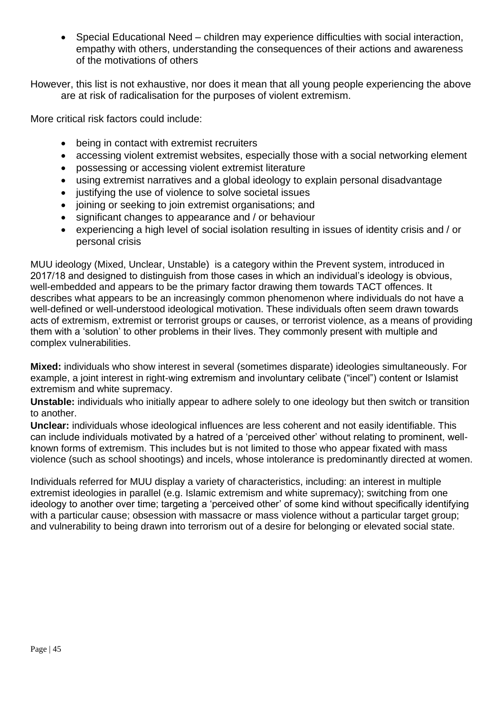• Special Educational Need – children may experience difficulties with social interaction, empathy with others, understanding the consequences of their actions and awareness of the motivations of others

However, this list is not exhaustive, nor does it mean that all young people experiencing the above are at risk of radicalisation for the purposes of violent extremism.

More critical risk factors could include:

- being in contact with extremist recruiters
- accessing violent extremist websites, especially those with a social networking element
- possessing or accessing violent extremist literature
- using extremist narratives and a global ideology to explain personal disadvantage
- justifying the use of violence to solve societal issues
- joining or seeking to join extremist organisations; and
- significant changes to appearance and / or behaviour
- experiencing a high level of social isolation resulting in issues of identity crisis and / or personal crisis

MUU ideology (Mixed, Unclear, Unstable) is a category within the Prevent system, introduced in 2017/18 and designed to distinguish from those cases in which an individual's ideology is obvious, well-embedded and appears to be the primary factor drawing them towards TACT offences. It describes what appears to be an increasingly common phenomenon where individuals do not have a well-defined or well-understood ideological motivation. These individuals often seem drawn towards acts of extremism, extremist or terrorist groups or causes, or terrorist violence, as a means of providing them with a 'solution' to other problems in their lives. They commonly present with multiple and complex vulnerabilities.

**Mixed:** individuals who show interest in several (sometimes disparate) ideologies simultaneously. For example, a joint interest in right-wing extremism and involuntary celibate ("incel") content or Islamist extremism and white supremacy.

**Unstable:** individuals who initially appear to adhere solely to one ideology but then switch or transition to another.

**Unclear:** individuals whose ideological influences are less coherent and not easily identifiable. This can include individuals motivated by a hatred of a 'perceived other' without relating to prominent, wellknown forms of extremism. This includes but is not limited to those who appear fixated with mass violence (such as school shootings) and incels, whose intolerance is predominantly directed at women.

Individuals referred for MUU display a variety of characteristics, including: an interest in multiple extremist ideologies in parallel (e.g. Islamic extremism and white supremacy); switching from one ideology to another over time; targeting a 'perceived other' of some kind without specifically identifying with a particular cause; obsession with massacre or mass violence without a particular target group; and vulnerability to being drawn into terrorism out of a desire for belonging or elevated social state.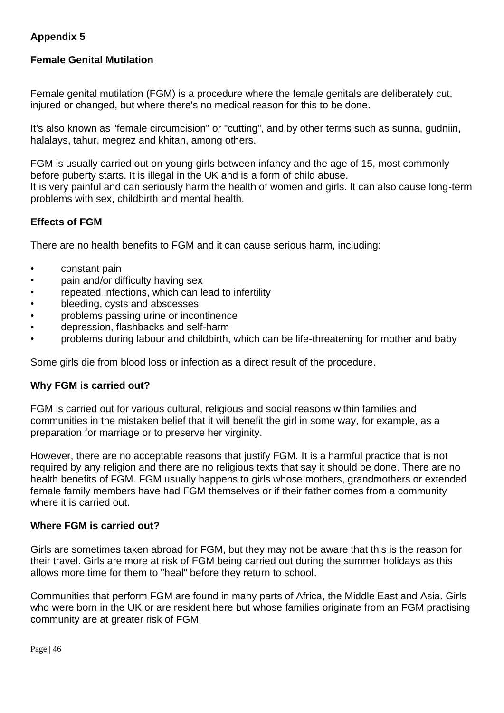## **Appendix 5**

## <span id="page-45-0"></span>**Female Genital Mutilation**

Female genital mutilation (FGM) is a procedure where the female genitals are deliberately cut, injured or changed, but where there's no medical reason for this to be done.

It's also known as "female circumcision" or "cutting", and by other terms such as sunna, gudniin, halalays, tahur, megrez and khitan, among others.

FGM is usually carried out on young girls between infancy and the age of 15, most commonly before puberty starts. It is illegal in the UK and is a form of child abuse. It is very painful and can seriously harm the health of women and girls. It can also cause long-term problems with sex, childbirth and mental health.

#### **Effects of FGM**

There are no health benefits to FGM and it can cause serious harm, including:

- constant pain
- pain and/or difficulty having sex
- repeated infections, which can lead to infertility
- bleeding, cysts and abscesses
- problems passing urine or incontinence
- depression, flashbacks and self-harm
- problems during labour and childbirth, which can be life-threatening for mother and baby

Some girls die from blood loss or infection as a direct result of the procedure.

#### **Why FGM is carried out?**

FGM is carried out for various cultural, religious and social reasons within families and communities in the mistaken belief that it will benefit the girl in some way, for example, as a preparation for marriage or to preserve her virginity.

However, there are no acceptable reasons that justify FGM. It is a harmful practice that is not required by any religion and there are no religious texts that say it should be done. There are no health benefits of FGM. FGM usually happens to girls whose mothers, grandmothers or extended female family members have had FGM themselves or if their father comes from a community where it is carried out.

#### **Where FGM is carried out?**

Girls are sometimes taken abroad for FGM, but they may not be aware that this is the reason for their travel. Girls are more at risk of FGM being carried out during the summer holidays as this allows more time for them to "heal" before they return to school.

Communities that perform FGM are found in many parts of Africa, the Middle East and Asia. Girls who were born in the UK or are resident here but whose families originate from an FGM practising community are at greater risk of FGM.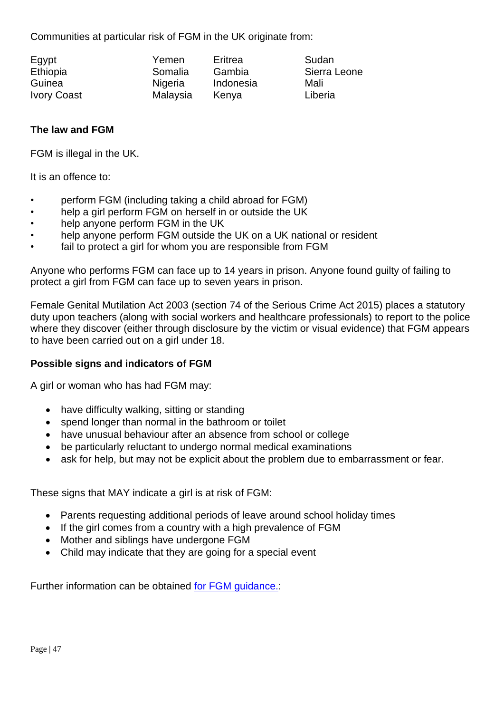Communities at particular risk of FGM in the UK originate from:

| Egypt              |  |
|--------------------|--|
| Ethiopia           |  |
| Guinea             |  |
| <b>Ivory Coast</b> |  |

Yemen Fritrea Sudan Nigeria Indonesia Mali Malaysia Kenya **Liberia** 

Somalia Gambia Sierra Leone

## **The law and FGM**

FGM is illegal in the UK.

It is an offence to:

- perform FGM (including taking a child abroad for FGM)
- help a girl perform FGM on herself in or outside the UK
- help anyone perform FGM in the UK
- help anyone perform FGM outside the UK on a UK national or resident
- fail to protect a girl for whom you are responsible from FGM

Anyone who performs FGM can face up to 14 years in prison. Anyone found guilty of failing to protect a girl from FGM can face up to seven years in prison.

Female Genital Mutilation Act 2003 (section 74 of the Serious Crime Act 2015) places a statutory duty upon teachers (along with social workers and healthcare professionals) to report to the police where they discover (either through disclosure by the victim or visual evidence) that FGM appears to have been carried out on a girl under 18.

#### **Possible signs and indicators of FGM**

A girl or woman who has had FGM may:

- have difficulty walking, sitting or standing
- spend longer than normal in the bathroom or toilet
- have unusual behaviour after an absence from school or college
- be particularly reluctant to undergo normal medical examinations
- ask for help, but may not be explicit about the problem due to embarrassment or fear.

These signs that MAY indicate a girl is at risk of FGM:

- Parents requesting additional periods of leave around school holiday times
- If the girl comes from a country with a high prevalence of FGM
- Mother and siblings have undergone FGM
- Child may indicate that they are going for a special event

Further information can be obtained [for FGM guidance.:](https://www.gov.uk/government/publications/multi-agency-statutory-guidance-on-female-genital-mutilation)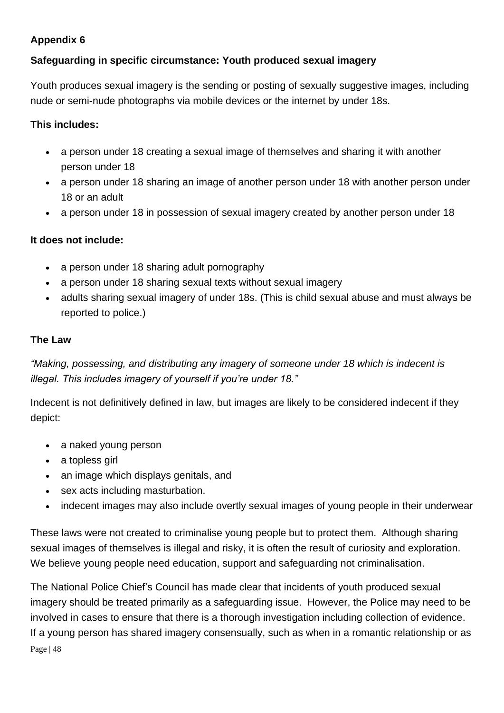## **Appendix 6**

## <span id="page-47-0"></span>**Safeguarding in specific circumstance: Youth produced sexual imagery**

Youth produces sexual imagery is the sending or posting of sexually suggestive images, including nude or semi-nude photographs via mobile devices or the internet by under 18s.

## **This includes:**

- a person under 18 creating a sexual image of themselves and sharing it with another person under 18
- a person under 18 sharing an image of another person under 18 with another person under 18 or an adult
- a person under 18 in possession of sexual imagery created by another person under 18

## **It does not include:**

- a person under 18 sharing adult pornography
- a person under 18 sharing sexual texts without sexual imagery
- adults sharing sexual imagery of under 18s. (This is child sexual abuse and must always be reported to police.)

## **The Law**

*"Making, possessing, and distributing any imagery of someone under 18 which is indecent is illegal. This includes imagery of yourself if you're under 18."*

Indecent is not definitively defined in law, but images are likely to be considered indecent if they depict:

- a naked young person
- a topless girl
- an image which displays genitals, and
- sex acts including masturbation.
- indecent images may also include overtly sexual images of young people in their underwear

These laws were not created to criminalise young people but to protect them. Although sharing sexual images of themselves is illegal and risky, it is often the result of curiosity and exploration. We believe young people need education, support and safeguarding not criminalisation.

Page | 48 The National Police Chief's Council has made clear that incidents of youth produced sexual imagery should be treated primarily as a safeguarding issue. However, the Police may need to be involved in cases to ensure that there is a thorough investigation including collection of evidence. If a young person has shared imagery consensually, such as when in a romantic relationship or as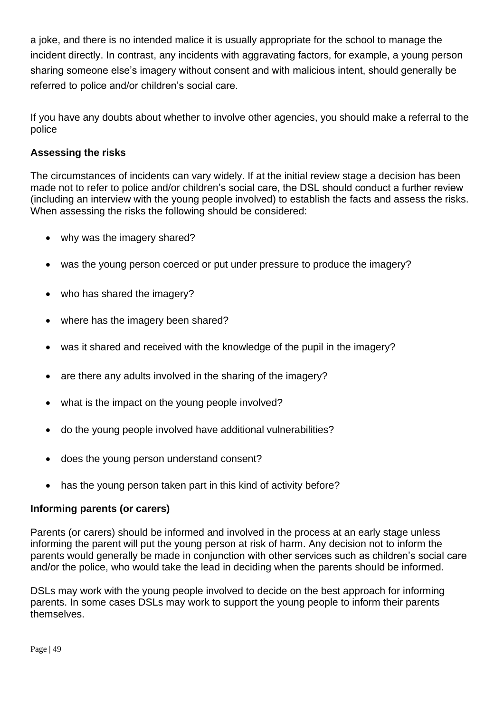a joke, and there is no intended malice it is usually appropriate for the school to manage the incident directly. In contrast, any incidents with aggravating factors, for example, a young person sharing someone else's imagery without consent and with malicious intent, should generally be referred to police and/or children's social care.

If you have any doubts about whether to involve other agencies, you should make a referral to the police

## **Assessing the risks**

The circumstances of incidents can vary widely. If at the initial review stage a decision has been made not to refer to police and/or children's social care, the DSL should conduct a further review (including an interview with the young people involved) to establish the facts and assess the risks. When assessing the risks the following should be considered:

- why was the imagery shared?
- was the young person coerced or put under pressure to produce the imagery?
- who has shared the imagery?
- where has the imagery been shared?
- was it shared and received with the knowledge of the pupil in the imagery?
- are there any adults involved in the sharing of the imagery?
- what is the impact on the young people involved?
- do the young people involved have additional vulnerabilities?
- does the young person understand consent?
- has the young person taken part in this kind of activity before?

#### **Informing parents (or carers)**

Parents (or carers) should be informed and involved in the process at an early stage unless informing the parent will put the young person at risk of harm. Any decision not to inform the parents would generally be made in conjunction with other services such as children's social care and/or the police, who would take the lead in deciding when the parents should be informed.

DSLs may work with the young people involved to decide on the best approach for informing parents. In some cases DSLs may work to support the young people to inform their parents themselves.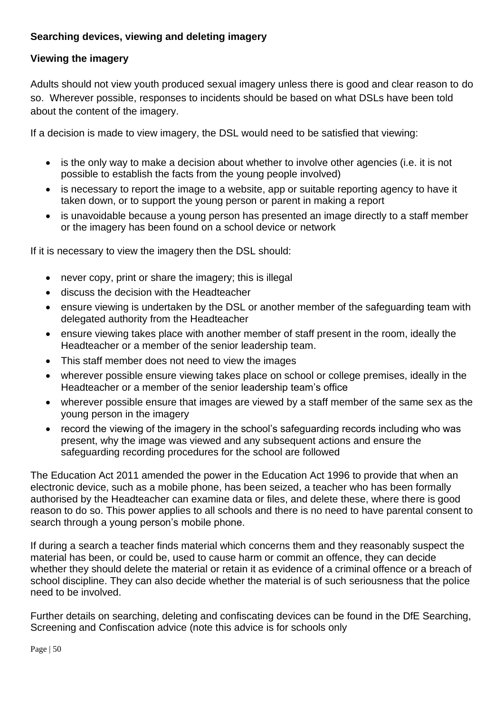## **Searching devices, viewing and deleting imagery**

#### **Viewing the imagery**

Adults should not view youth produced sexual imagery unless there is good and clear reason to do so. Wherever possible, responses to incidents should be based on what DSLs have been told about the content of the imagery.

If a decision is made to view imagery, the DSL would need to be satisfied that viewing:

- is the only way to make a decision about whether to involve other agencies (i.e. it is not possible to establish the facts from the young people involved)
- is necessary to report the image to a website, app or suitable reporting agency to have it taken down, or to support the young person or parent in making a report
- is unavoidable because a young person has presented an image directly to a staff member or the imagery has been found on a school device or network

If it is necessary to view the imagery then the DSL should:

- never copy, print or share the imagery; this is illegal
- discuss the decision with the Headteacher
- ensure viewing is undertaken by the DSL or another member of the safeguarding team with delegated authority from the Headteacher
- ensure viewing takes place with another member of staff present in the room, ideally the Headteacher or a member of the senior leadership team.
- This staff member does not need to view the images
- wherever possible ensure viewing takes place on school or college premises, ideally in the Headteacher or a member of the senior leadership team's office
- wherever possible ensure that images are viewed by a staff member of the same sex as the young person in the imagery
- record the viewing of the imagery in the school's safeguarding records including who was present, why the image was viewed and any subsequent actions and ensure the safeguarding recording procedures for the school are followed

The Education Act 2011 amended the power in the Education Act 1996 to provide that when an electronic device, such as a mobile phone, has been seized, a teacher who has been formally authorised by the Headteacher can examine data or files, and delete these, where there is good reason to do so. This power applies to all schools and there is no need to have parental consent to search through a young person's mobile phone.

If during a search a teacher finds material which concerns them and they reasonably suspect the material has been, or could be, used to cause harm or commit an offence, they can decide whether they should delete the material or retain it as evidence of a criminal offence or a breach of school discipline. They can also decide whether the material is of such seriousness that the police need to be involved.

Further details on searching, deleting and confiscating devices can be found in the DfE Searching, Screening and Confiscation advice (note this advice is for schools only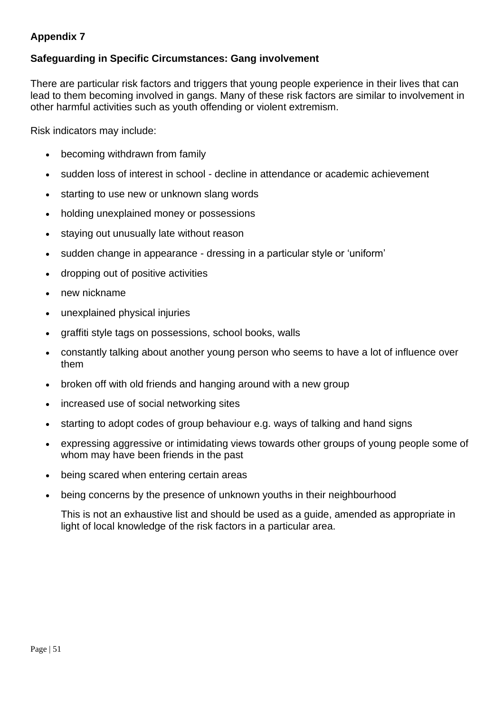## <span id="page-50-0"></span>**Appendix 7**

## <span id="page-50-1"></span>**Safeguarding in Specific Circumstances: Gang involvement**

There are particular risk factors and triggers that young people experience in their lives that can lead to them becoming involved in gangs. Many of these risk factors are similar to involvement in other harmful activities such as youth offending or violent extremism.

Risk indicators may include:

- becoming withdrawn from family
- sudden loss of interest in school decline in attendance or academic achievement
- starting to use new or unknown slang words
- holding unexplained money or possessions
- staying out unusually late without reason
- sudden change in appearance dressing in a particular style or 'uniform'
- dropping out of positive activities
- new nickname
- unexplained physical injuries
- graffiti style tags on possessions, school books, walls
- constantly talking about another young person who seems to have a lot of influence over them
- broken off with old friends and hanging around with a new group
- increased use of social networking sites
- starting to adopt codes of group behaviour e.g. ways of talking and hand signs
- expressing aggressive or intimidating views towards other groups of young people some of whom may have been friends in the past
- being scared when entering certain areas
- being concerns by the presence of unknown youths in their neighbourhood

This is not an exhaustive list and should be used as a guide, amended as appropriate in light of local knowledge of the risk factors in a particular area.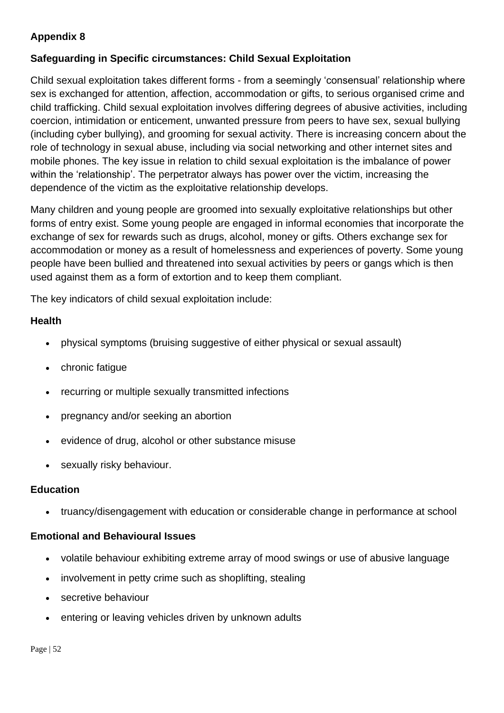## <span id="page-51-0"></span>**Appendix 8**

## <span id="page-51-1"></span>**Safeguarding in Specific circumstances: Child Sexual Exploitation**

Child sexual exploitation takes different forms - from a seemingly 'consensual' relationship where sex is exchanged for attention, affection, accommodation or gifts, to serious organised crime and child trafficking. Child sexual exploitation involves differing degrees of abusive activities, including coercion, intimidation or enticement, unwanted pressure from peers to have sex, sexual bullying (including cyber bullying), and grooming for sexual activity. There is increasing concern about the role of technology in sexual abuse, including via social networking and other internet sites and mobile phones. The key issue in relation to child sexual exploitation is the imbalance of power within the 'relationship'. The perpetrator always has power over the victim, increasing the dependence of the victim as the exploitative relationship develops.

Many children and young people are groomed into sexually exploitative relationships but other forms of entry exist. Some young people are engaged in informal economies that incorporate the exchange of sex for rewards such as drugs, alcohol, money or gifts. Others exchange sex for accommodation or money as a result of homelessness and experiences of poverty. Some young people have been bullied and threatened into sexual activities by peers or gangs which is then used against them as a form of extortion and to keep them compliant.

The key indicators of child sexual exploitation include:

#### **Health**

- physical symptoms (bruising suggestive of either physical or sexual assault)
- chronic fatigue
- recurring or multiple sexually transmitted infections
- pregnancy and/or seeking an abortion
- evidence of drug, alcohol or other substance misuse
- sexually risky behaviour.

#### **Education**

• truancy/disengagement with education or considerable change in performance at school

#### **Emotional and Behavioural Issues**

- volatile behaviour exhibiting extreme array of mood swings or use of abusive language
- involvement in petty crime such as shoplifting, stealing
- secretive behaviour
- entering or leaving vehicles driven by unknown adults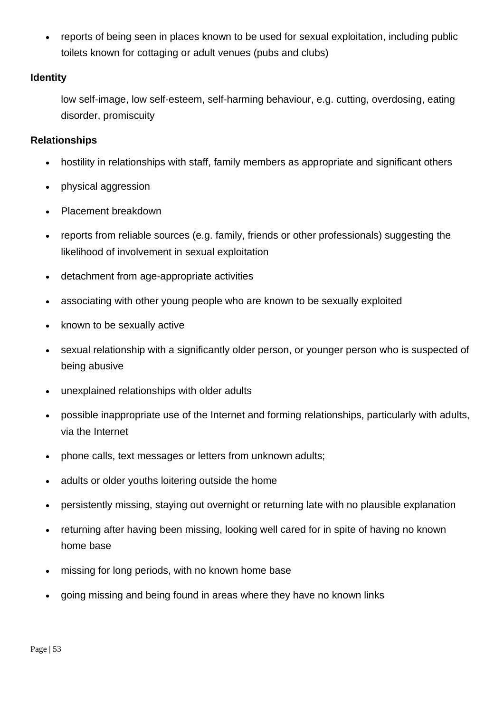reports of being seen in places known to be used for sexual exploitation, including public toilets known for cottaging or adult venues (pubs and clubs)

#### **Identity**

low self-image, low self-esteem, self-harming behaviour, e.g. cutting, overdosing, eating disorder, promiscuity

#### **Relationships**

- hostility in relationships with staff, family members as appropriate and significant others
- physical aggression
- Placement breakdown
- reports from reliable sources (e.g. family, friends or other professionals) suggesting the likelihood of involvement in sexual exploitation
- detachment from age-appropriate activities
- associating with other young people who are known to be sexually exploited
- known to be sexually active
- sexual relationship with a significantly older person, or younger person who is suspected of being abusive
- unexplained relationships with older adults
- possible inappropriate use of the Internet and forming relationships, particularly with adults, via the Internet
- phone calls, text messages or letters from unknown adults;
- adults or older youths loitering outside the home
- persistently missing, staying out overnight or returning late with no plausible explanation
- returning after having been missing, looking well cared for in spite of having no known home base
- missing for long periods, with no known home base
- going missing and being found in areas where they have no known links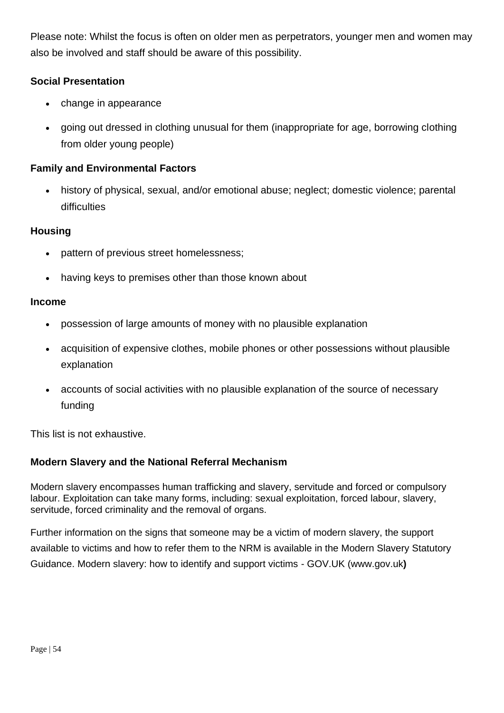Please note: Whilst the focus is often on older men as perpetrators, younger men and women may also be involved and staff should be aware of this possibility.

## **Social Presentation**

- change in appearance
- going out dressed in clothing unusual for them (inappropriate for age, borrowing clothing from older young people)

## **Family and Environmental Factors**

• history of physical, sexual, and/or emotional abuse; neglect; domestic violence; parental difficulties

#### **Housing**

- pattern of previous street homelessness;
- having keys to premises other than those known about

#### **Income**

- possession of large amounts of money with no plausible explanation
- acquisition of expensive clothes, mobile phones or other possessions without plausible explanation
- accounts of social activities with no plausible explanation of the source of necessary funding

This list is not exhaustive.

#### **Modern Slavery and the National Referral Mechanism**

Modern slavery encompasses human trafficking and slavery, servitude and forced or compulsory labour. Exploitation can take many forms, including: sexual exploitation, forced labour, slavery, servitude, forced criminality and the removal of organs.

Further information on the signs that someone may be a victim of modern slavery, the support available to victims and how to refer them to the NRM is available in the Modern Slavery Statutory Guidance. Modern slavery: how to identify and support victims - GOV.UK (www.gov.uk**)**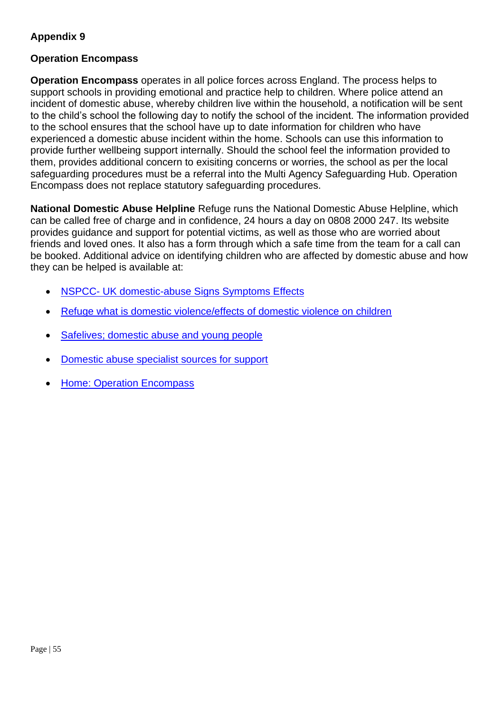## <span id="page-54-0"></span>**Appendix 9**

#### <span id="page-54-1"></span>**Operation Encompass**

**Operation Encompass** operates in all police forces across England. The process helps to support schools in providing emotional and practice help to children. Where police attend an incident of domestic abuse, whereby children live within the household, a notification will be sent to the child's school the following day to notify the school of the incident. The information provided to the school ensures that the school have up to date information for children who have experienced a domestic abuse incident within the home. Schools can use this information to provide further wellbeing support internally. Should the school feel the information provided to them, provides additional concern to exisiting concerns or worries, the school as per the local safeguarding procedures must be a referral into the Multi Agency Safeguarding Hub. Operation Encompass does not replace statutory safeguarding procedures.

**National Domestic Abuse Helpline** Refuge runs the National Domestic Abuse Helpline, which can be called free of charge and in confidence, 24 hours a day on 0808 2000 247. Its website provides guidance and support for potential victims, as well as those who are worried about friends and loved ones. It also has a form through which a safe time from the team for a call can be booked. Additional advice on identifying children who are affected by domestic abuse and how they can be helped is available at:

- NSPCC- [UK domestic-abuse Signs Symptoms Effects](https://www.nspcc.org.uk/what-is-child-abuse/types-of-abuse/domestic-abuse/)
- [Refuge what is domestic violence/effects of domestic violence on children](https://www.refuge.org.uk/get-help-now/support-for-women/what-about-my-children/)
- [Safelives; domestic abuse and young people](https://safelives.org.uk/knowledge-hub/spotlights/spotlight-3-young-people-and-domestic-abuse)
- [Domestic abuse specialist sources for support](https://www.gov.uk/government/publications/domestic-abuse-get-help-for-specific-needs-or-situations/domestic-abuse-specialist-sources-of-support)
- [Home: Operation Encompass](https://www.operationencompass.org/)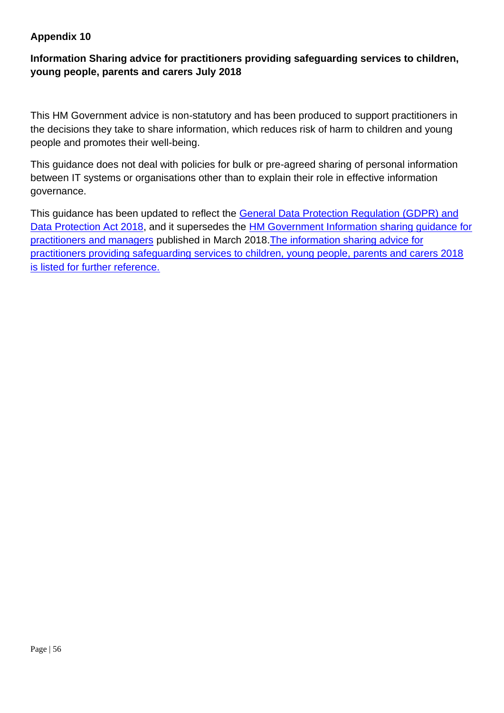## <span id="page-55-0"></span>**Appendix 10**

## <span id="page-55-1"></span>**Information Sharing advice for practitioners providing safeguarding services to children, young people, parents and carers July 2018**

This HM Government advice is non-statutory and has been produced to support practitioners in the decisions they take to share information, which reduces risk of harm to children and young people and promotes their well-being.

This guidance does not deal with policies for bulk or pre-agreed sharing of personal information between IT systems or organisations other than to explain their role in effective information governance.

This guidance has been updated to reflect the [General Data Protection Regulation \(GDPR\) and](https://ico.org.uk/for-organisations/guide-to-data-protection/guide-to-the-general-data-protection-regulation-gdpr/)  [Data Protection Act 2018,](https://ico.org.uk/for-organisations/guide-to-data-protection/guide-to-the-general-data-protection-regulation-gdpr/) and it supersedes the [HM Government Information sharing guidance for](https://assets.publishing.service.gov.uk/government/uploads/system/uploads/attachment_data/file/417696/Archived-information_sharing_guidance_for_practitioners_and_managers.pdf)  [practitioners and managers](https://assets.publishing.service.gov.uk/government/uploads/system/uploads/attachment_data/file/417696/Archived-information_sharing_guidance_for_practitioners_and_managers.pdf) published in March 2018[.The information sharing advice for](https://www.gov.uk/government/publications/safeguarding-practitioners-information-sharing-advice)  [practitioners providing safeguarding services to children, young people, parents and carers 2018](https://www.gov.uk/government/publications/safeguarding-practitioners-information-sharing-advice)  [is listed for further reference.](https://www.gov.uk/government/publications/safeguarding-practitioners-information-sharing-advice)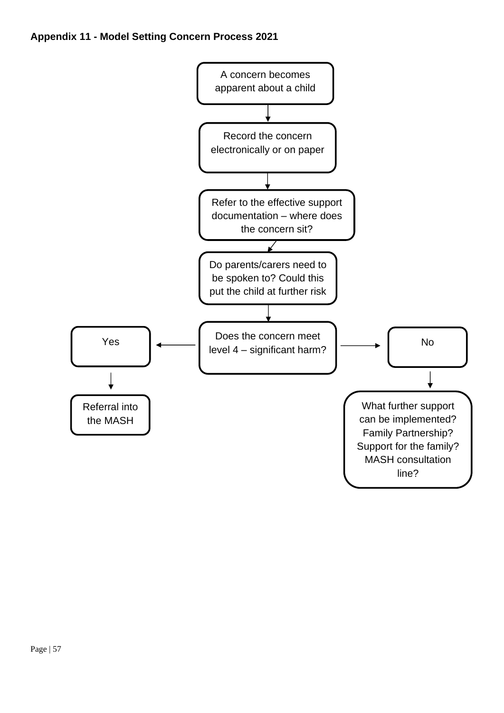<span id="page-56-0"></span>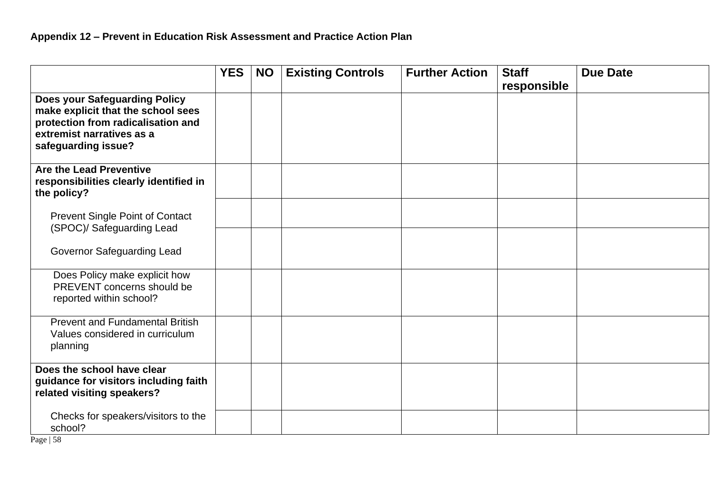<span id="page-57-0"></span>

|                                                                                                                                                                      | <b>YES</b> | <b>NO</b> | <b>Existing Controls</b> | <b>Further Action</b> | <b>Staff</b><br>responsible | <b>Due Date</b> |
|----------------------------------------------------------------------------------------------------------------------------------------------------------------------|------------|-----------|--------------------------|-----------------------|-----------------------------|-----------------|
| <b>Does your Safeguarding Policy</b><br>make explicit that the school sees<br>protection from radicalisation and<br>extremist narratives as a<br>safeguarding issue? |            |           |                          |                       |                             |                 |
| Are the Lead Preventive<br>responsibilities clearly identified in<br>the policy?                                                                                     |            |           |                          |                       |                             |                 |
| <b>Prevent Single Point of Contact</b><br>(SPOC)/ Safeguarding Lead                                                                                                  |            |           |                          |                       |                             |                 |
| <b>Governor Safeguarding Lead</b>                                                                                                                                    |            |           |                          |                       |                             |                 |
| Does Policy make explicit how<br>PREVENT concerns should be<br>reported within school?                                                                               |            |           |                          |                       |                             |                 |
| <b>Prevent and Fundamental British</b><br>Values considered in curriculum<br>planning                                                                                |            |           |                          |                       |                             |                 |
| Does the school have clear<br>guidance for visitors including faith<br>related visiting speakers?                                                                    |            |           |                          |                       |                             |                 |
| Checks for speakers/visitors to the<br>school?                                                                                                                       |            |           |                          |                       |                             |                 |

Page | 58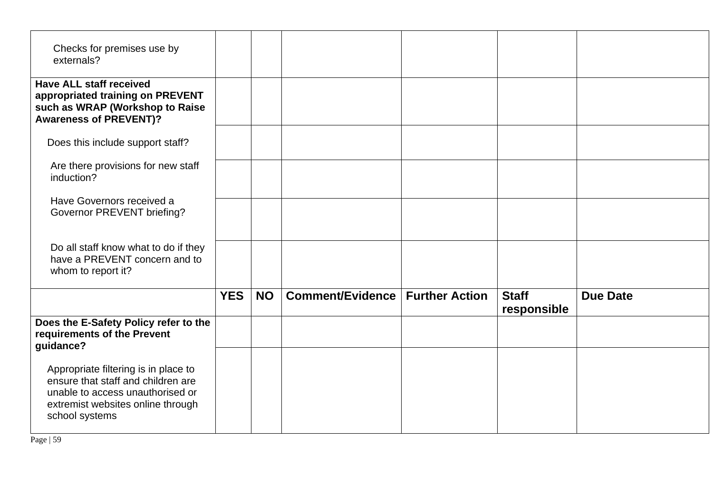| Checks for premises use by<br>externals?                                                                                                                              |            |           |                  |                       |                             |                 |
|-----------------------------------------------------------------------------------------------------------------------------------------------------------------------|------------|-----------|------------------|-----------------------|-----------------------------|-----------------|
| <b>Have ALL staff received</b><br>appropriated training on PREVENT<br>such as WRAP (Workshop to Raise<br><b>Awareness of PREVENT)?</b>                                |            |           |                  |                       |                             |                 |
| Does this include support staff?                                                                                                                                      |            |           |                  |                       |                             |                 |
| Are there provisions for new staff<br>induction?                                                                                                                      |            |           |                  |                       |                             |                 |
| Have Governors received a<br>Governor PREVENT briefing?                                                                                                               |            |           |                  |                       |                             |                 |
| Do all staff know what to do if they<br>have a PREVENT concern and to<br>whom to report it?                                                                           |            |           |                  |                       |                             |                 |
|                                                                                                                                                                       | <b>YES</b> | <b>NO</b> | Comment/Evidence | <b>Further Action</b> | <b>Staff</b><br>responsible | <b>Due Date</b> |
| Does the E-Safety Policy refer to the<br>requirements of the Prevent<br>guidance?                                                                                     |            |           |                  |                       |                             |                 |
| Appropriate filtering is in place to<br>ensure that staff and children are<br>unable to access unauthorised or<br>extremist websites online through<br>school systems |            |           |                  |                       |                             |                 |

Page | 59